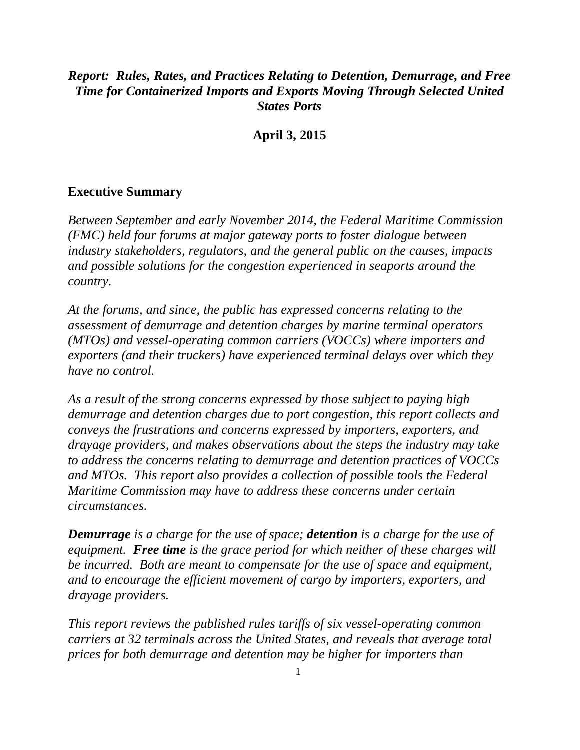# *Report: Rules, Rates, and Practices Relating to Detention, Demurrage, and Free Time for Containerized Imports and Exports Moving Through Selected United States Ports*

**April 3, 2015**

## **Executive Summary**

*Between September and early November 2014, the Federal Maritime Commission (FMC) held four forums at major gateway ports to foster dialogue between industry stakeholders, regulators, and the general public on the causes, impacts and possible solutions for the congestion experienced in seaports around the country.*

*At the forums, and since, the public has expressed concerns relating to the assessment of demurrage and detention charges by marine terminal operators (MTOs) and vessel-operating common carriers (VOCCs) where importers and exporters (and their truckers) have experienced terminal delays over which they have no control.*

*As a result of the strong concerns expressed by those subject to paying high demurrage and detention charges due to port congestion, this report collects and conveys the frustrations and concerns expressed by importers, exporters, and drayage providers, and makes observations about the steps the industry may take to address the concerns relating to demurrage and detention practices of VOCCs and MTOs. This report also provides a collection of possible tools the Federal Maritime Commission may have to address these concerns under certain circumstances.*

*Demurrage is a charge for the use of space; detention is a charge for the use of equipment. Free time is the grace period for which neither of these charges will be incurred. Both are meant to compensate for the use of space and equipment, and to encourage the efficient movement of cargo by importers, exporters, and drayage providers.*

*This report reviews the published rules tariffs of six vessel-operating common carriers at 32 terminals across the United States, and reveals that average total prices for both demurrage and detention may be higher for importers than*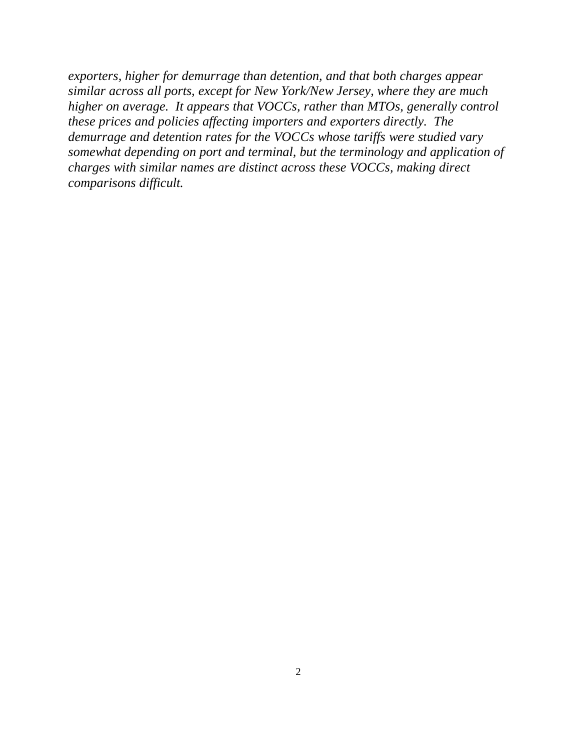*exporters, higher for demurrage than detention, and that both charges appear similar across all ports, except for New York/New Jersey, where they are much higher on average. It appears that VOCCs, rather than MTOs, generally control these prices and policies affecting importers and exporters directly. The demurrage and detention rates for the VOCCs whose tariffs were studied vary somewhat depending on port and terminal, but the terminology and application of charges with similar names are distinct across these VOCCs, making direct comparisons difficult.*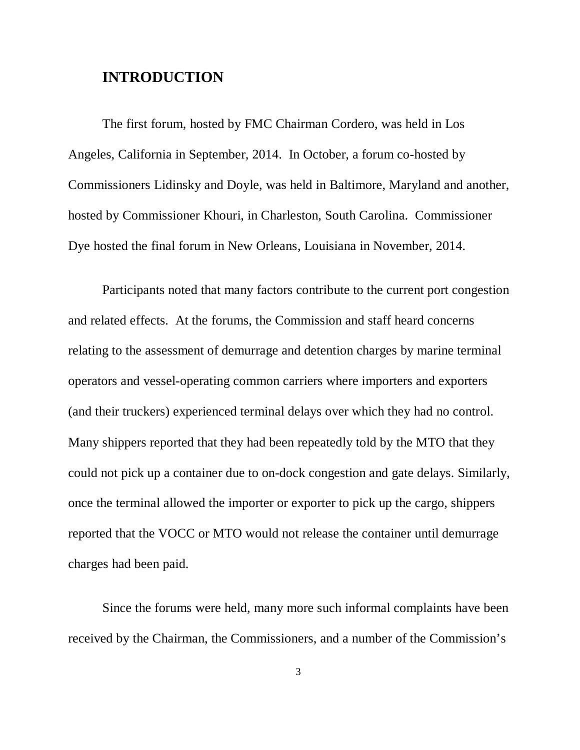# **INTRODUCTION**

The first forum, hosted by FMC Chairman Cordero, was held in Los Angeles, California in September, 2014. In October, a forum co-hosted by Commissioners Lidinsky and Doyle, was held in Baltimore, Maryland and another, hosted by Commissioner Khouri, in Charleston, South Carolina. Commissioner Dye hosted the final forum in New Orleans, Louisiana in November, 2014.

Participants noted that many factors contribute to the current port congestion and related effects. At the forums, the Commission and staff heard concerns relating to the assessment of demurrage and detention charges by marine terminal operators and vessel-operating common carriers where importers and exporters (and their truckers) experienced terminal delays over which they had no control. Many shippers reported that they had been repeatedly told by the MTO that they could not pick up a container due to on-dock congestion and gate delays. Similarly, once the terminal allowed the importer or exporter to pick up the cargo, shippers reported that the VOCC or MTO would not release the container until demurrage charges had been paid.

Since the forums were held, many more such informal complaints have been received by the Chairman, the Commissioners, and a number of the Commission's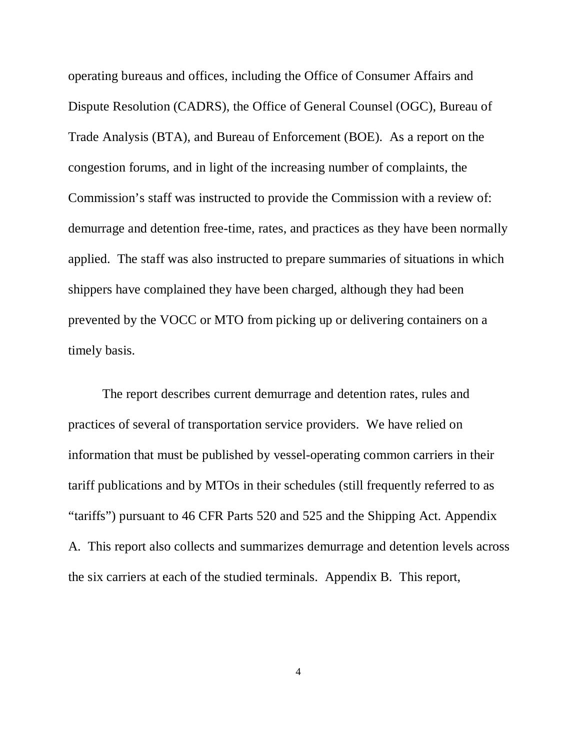operating bureaus and offices, including the Office of Consumer Affairs and Dispute Resolution (CADRS), the Office of General Counsel (OGC), Bureau of Trade Analysis (BTA), and Bureau of Enforcement (BOE). As a report on the congestion forums, and in light of the increasing number of complaints, the Commission's staff was instructed to provide the Commission with a review of: demurrage and detention free-time, rates, and practices as they have been normally applied. The staff was also instructed to prepare summaries of situations in which shippers have complained they have been charged, although they had been prevented by the VOCC or MTO from picking up or delivering containers on a timely basis.

The report describes current demurrage and detention rates, rules and practices of several of transportation service providers. We have relied on information that must be published by vessel-operating common carriers in their tariff publications and by MTOs in their schedules (still frequently referred to as "tariffs") pursuant to 46 CFR Parts 520 and 525 and the Shipping Act. Appendix A. This report also collects and summarizes demurrage and detention levels across the six carriers at each of the studied terminals. Appendix B. This report,

4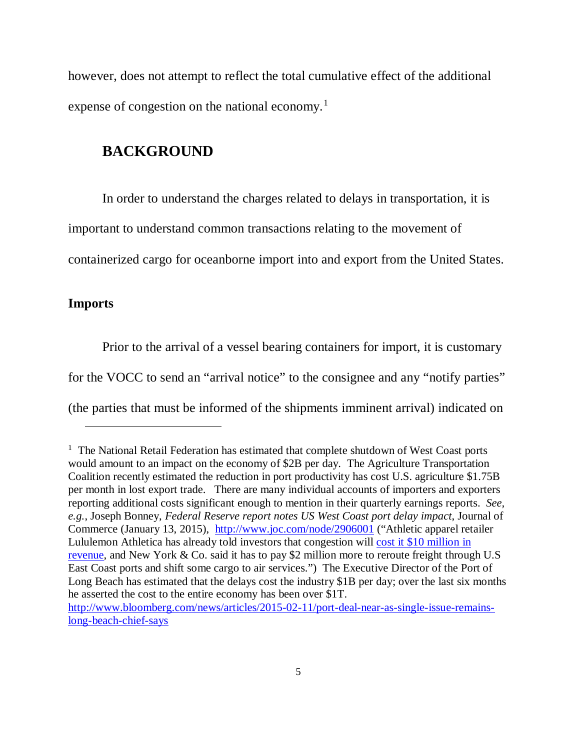however, does not attempt to reflect the total cumulative effect of the additional expense of congestion on the national economy.<sup>[1](#page-4-0)</sup>

## **BACKGROUND**

In order to understand the charges related to delays in transportation, it is

important to understand common transactions relating to the movement of

containerized cargo for oceanborne import into and export from the United States.

## **Imports**

 $\ddot{\phantom{a}}$ 

Prior to the arrival of a vessel bearing containers for import, it is customary

for the VOCC to send an "arrival notice" to the consignee and any "notify parties"

(the parties that must be informed of the shipments imminent arrival) indicated on

<span id="page-4-0"></span><sup>&</sup>lt;sup>1</sup> The National Retail Federation has estimated that complete shutdown of West Coast ports would amount to an impact on the economy of \$2B per day. The Agriculture Transportation Coalition recently estimated the reduction in port productivity has cost U.S. agriculture \$1.75B per month in lost export trade. There are many individual accounts of importers and exporters reporting additional costs significant enough to mention in their quarterly earnings reports. *See, e.g.*, Joseph Bonney, *Federal Reserve report notes US West Coast port delay impact*, Journal of Commerce (January 13, 2015), <http://www.joc.com/node/2906001> ("Athletic apparel retailer Lululemon Athletica has already told investors that congestion will cost it \$10 million in [revenue,](http://www.joc.com/maritime-news/international-freight-shipping/west-coast-slowdowns-could-affect-retailers-q4_20141213.html) and New York & Co. said it has to pay \$2 million more to reroute freight through U.S East Coast ports and shift some cargo to air services.") The Executive Director of the Port of Long Beach has estimated that the delays cost the industry \$1B per day; over the last six months he asserted the cost to the entire economy has been over \$1T. [http://www.bloomberg.com/news/articles/2015-02-11/port-deal-near-as-single-issue-remains](http://www.bloomberg.com/news/articles/2015-02-11/port-deal-near-as-single-issue-remains-long-beach-chief-says)[long-beach-chief-says](http://www.bloomberg.com/news/articles/2015-02-11/port-deal-near-as-single-issue-remains-long-beach-chief-says)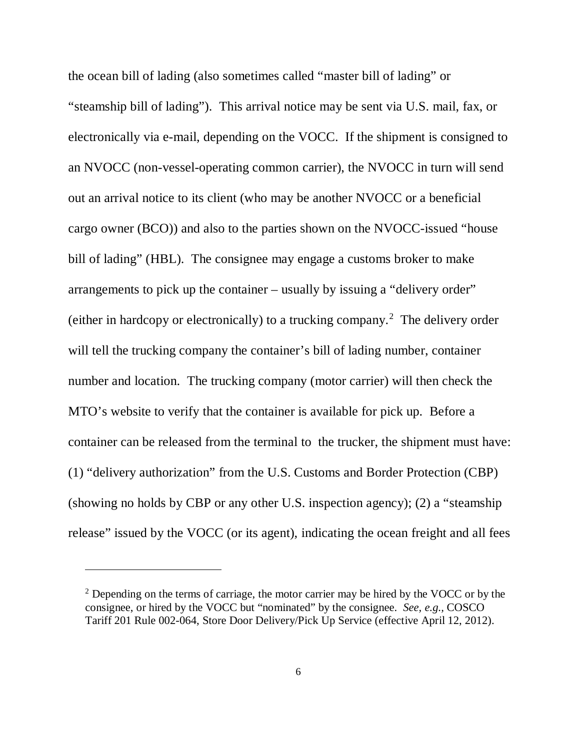the ocean bill of lading (also sometimes called "master bill of lading" or "steamship bill of lading"). This arrival notice may be sent via U.S. mail, fax, or electronically via e-mail, depending on the VOCC. If the shipment is consigned to an NVOCC (non-vessel-operating common carrier), the NVOCC in turn will send out an arrival notice to its client (who may be another NVOCC or a beneficial cargo owner (BCO)) and also to the parties shown on the NVOCC-issued "house bill of lading" (HBL). The consignee may engage a customs broker to make arrangements to pick up the container – usually by issuing a "delivery order" (either in hardcopy or electronically) to a trucking company.<sup>[2](#page-5-0)</sup> The delivery order will tell the trucking company the container's bill of lading number, container number and location. The trucking company (motor carrier) will then check the MTO's website to verify that the container is available for pick up. Before a container can be released from the terminal to the trucker, the shipment must have: (1) "delivery authorization" from the U.S. Customs and Border Protection (CBP) (showing no holds by CBP or any other U.S. inspection agency); (2) a "steamship release" issued by the VOCC (or its agent), indicating the ocean freight and all fees

-

<span id="page-5-0"></span> $2$  Depending on the terms of carriage, the motor carrier may be hired by the VOCC or by the consignee, or hired by the VOCC but "nominated" by the consignee. *See, e.g.,* COSCO Tariff 201 Rule 002-064, Store Door Delivery/Pick Up Service (effective April 12, 2012).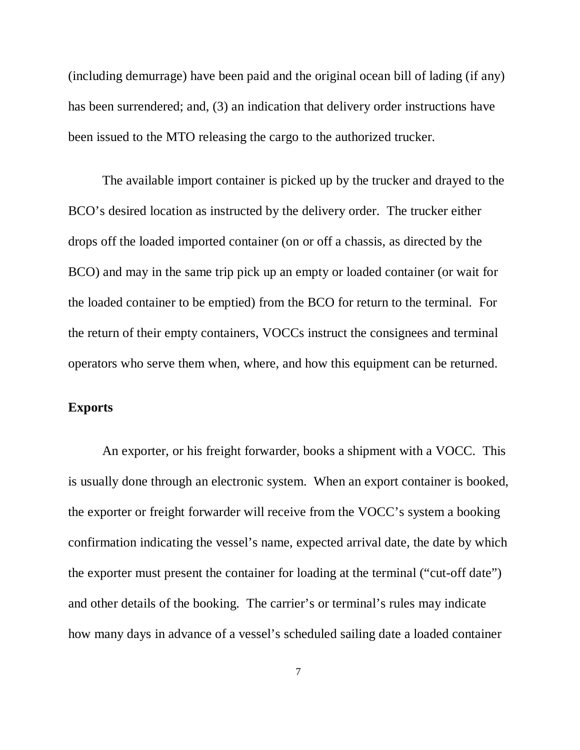(including demurrage) have been paid and the original ocean bill of lading (if any) has been surrendered; and, (3) an indication that delivery order instructions have been issued to the MTO releasing the cargo to the authorized trucker.

The available import container is picked up by the trucker and drayed to the BCO's desired location as instructed by the delivery order. The trucker either drops off the loaded imported container (on or off a chassis, as directed by the BCO) and may in the same trip pick up an empty or loaded container (or wait for the loaded container to be emptied) from the BCO for return to the terminal. For the return of their empty containers, VOCCs instruct the consignees and terminal operators who serve them when, where, and how this equipment can be returned.

# **Exports**

An exporter, or his freight forwarder, books a shipment with a VOCC. This is usually done through an electronic system. When an export container is booked, the exporter or freight forwarder will receive from the VOCC's system a booking confirmation indicating the vessel's name, expected arrival date, the date by which the exporter must present the container for loading at the terminal ("cut-off date") and other details of the booking. The carrier's or terminal's rules may indicate how many days in advance of a vessel's scheduled sailing date a loaded container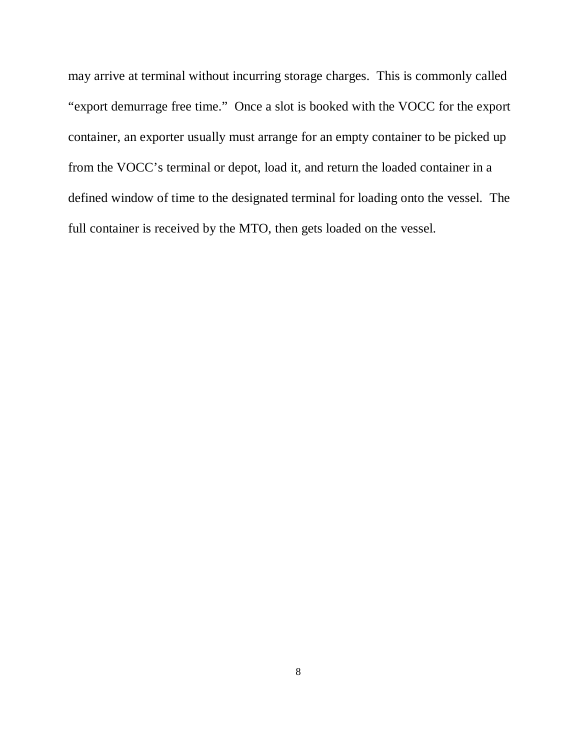may arrive at terminal without incurring storage charges. This is commonly called "export demurrage free time." Once a slot is booked with the VOCC for the export container, an exporter usually must arrange for an empty container to be picked up from the VOCC's terminal or depot, load it, and return the loaded container in a defined window of time to the designated terminal for loading onto the vessel. The full container is received by the MTO, then gets loaded on the vessel.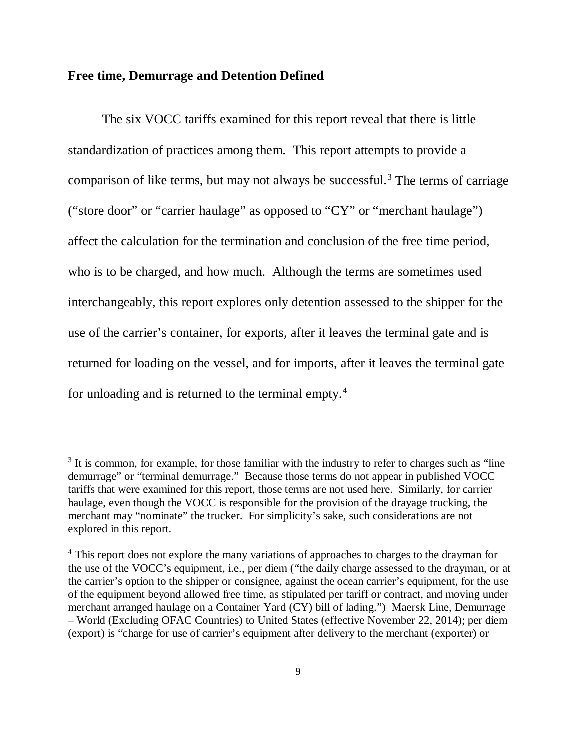## **Free time, Demurrage and Detention Defined**

-

The six VOCC tariffs examined for this report reveal that there is little standardization of practices among them. This report attempts to provide a comparison of like terms, but may not always be successful.<sup>[3](#page-8-0)</sup> The terms of carriage ("store door" or "carrier haulage" as opposed to "CY" or "merchant haulage") affect the calculation for the termination and conclusion of the free time period, who is to be charged, and how much. Although the terms are sometimes used interchangeably, this report explores only detention assessed to the shipper for the use of the carrier's container, for exports, after it leaves the terminal gate and is returned for loading on the vessel, and for imports, after it leaves the terminal gate for unloading and is returned to the terminal empty.[4](#page-8-1)

<span id="page-8-0"></span> $3$  It is common, for example, for those familiar with the industry to refer to charges such as "line" demurrage" or "terminal demurrage." Because those terms do not appear in published VOCC tariffs that were examined for this report, those terms are not used here. Similarly, for carrier haulage, even though the VOCC is responsible for the provision of the drayage trucking, the merchant may "nominate" the trucker. For simplicity's sake, such considerations are not explored in this report.

<span id="page-8-1"></span><sup>&</sup>lt;sup>4</sup> This report does not explore the many variations of approaches to charges to the drayman for the use of the VOCC's equipment, i.e., per diem ("the daily charge assessed to the drayman, or at the carrier's option to the shipper or consignee, against the ocean carrier's equipment, for the use of the equipment beyond allowed free time, as stipulated per tariff or contract, and moving under merchant arranged haulage on a Container Yard (CY) bill of lading.") Maersk Line, Demurrage – World (Excluding OFAC Countries) to United States (effective November 22, 2014); per diem (export) is "charge for use of carrier's equipment after delivery to the merchant (exporter) or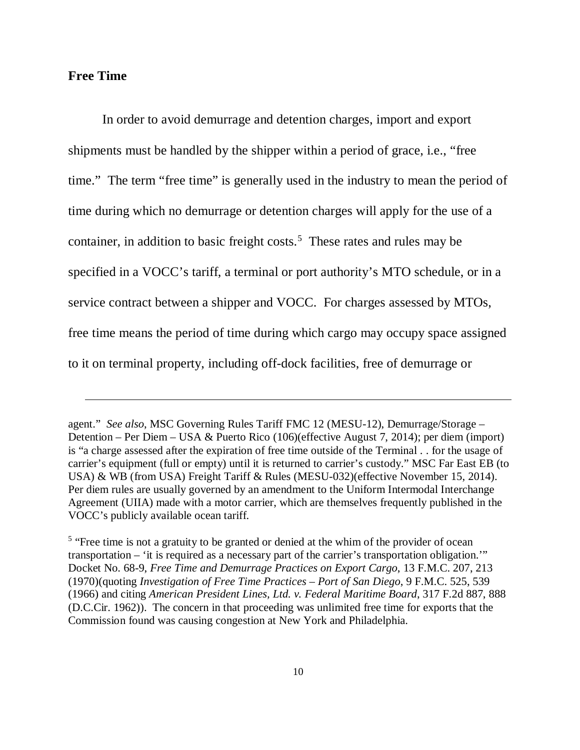## **Free Time**

 $\overline{a}$ 

In order to avoid demurrage and detention charges, import and export shipments must be handled by the shipper within a period of grace, i.e., "free time." The term "free time" is generally used in the industry to mean the period of time during which no demurrage or detention charges will apply for the use of a container, in addition to basic freight costs. [5](#page-9-0) These rates and rules may be specified in a VOCC's tariff, a terminal or port authority's MTO schedule, or in a service contract between a shipper and VOCC. For charges assessed by MTOs, free time means the period of time during which cargo may occupy space assigned to it on terminal property, including off-dock facilities, free of demurrage or

agent." *See also*, MSC Governing Rules Tariff FMC 12 (MESU-12), Demurrage/Storage – Detention – Per Diem – USA & Puerto Rico (106)(effective August 7, 2014); per diem (import) is "a charge assessed after the expiration of free time outside of the Terminal . . for the usage of carrier's equipment (full or empty) until it is returned to carrier's custody." MSC Far East EB (to USA) & WB (from USA) Freight Tariff & Rules (MESU-032)(effective November 15, 2014). Per diem rules are usually governed by an amendment to the Uniform Intermodal Interchange Agreement (UIIA) made with a motor carrier, which are themselves frequently published in the VOCC's publicly available ocean tariff.

<span id="page-9-0"></span><sup>&</sup>lt;sup>5</sup> "Free time is not a gratuity to be granted or denied at the whim of the provider of ocean transportation – 'it is required as a necessary part of the carrier's transportation obligation.'" Docket No. 68-9, *Free Time and Demurrage Practices on Export Cargo*, 13 F.M.C. 207, 213 (1970)(quoting *Investigation of Free Time Practices – Port of San Diego*, 9 F.M.C. 525, 539 (1966) and citing *American President Lines, Ltd. v. Federal Maritime Board*, 317 F.2d 887, 888 (D.C.Cir. 1962)). The concern in that proceeding was unlimited free time for exports that the Commission found was causing congestion at New York and Philadelphia.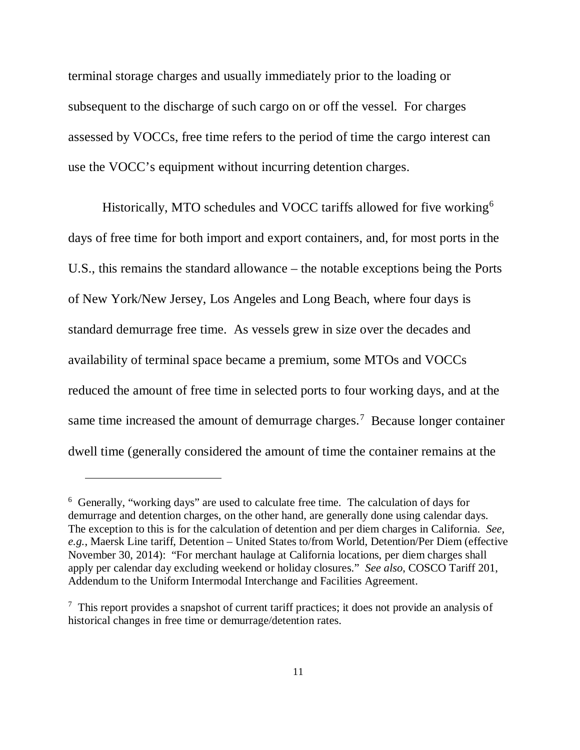terminal storage charges and usually immediately prior to the loading or subsequent to the discharge of such cargo on or off the vessel. For charges assessed by VOCCs, free time refers to the period of time the cargo interest can use the VOCC's equipment without incurring detention charges.

Historically, MTO schedules and VOCC tariffs allowed for five working<sup>[6](#page-10-0)</sup> days of free time for both import and export containers, and, for most ports in the U.S., this remains the standard allowance – the notable exceptions being the Ports of New York/New Jersey, Los Angeles and Long Beach, where four days is standard demurrage free time. As vessels grew in size over the decades and availability of terminal space became a premium, some MTOs and VOCCs reduced the amount of free time in selected ports to four working days, and at the same time increased the amount of demurrage charges.<sup>[7](#page-10-1)</sup> Because longer container dwell time (generally considered the amount of time the container remains at the

 $\overline{a}$ 

<span id="page-10-0"></span><sup>6</sup> Generally, "working days" are used to calculate free time. The calculation of days for demurrage and detention charges, on the other hand, are generally done using calendar days. The exception to this is for the calculation of detention and per diem charges in California. *See, e.g.*, Maersk Line tariff, Detention – United States to/from World, Detention/Per Diem (effective November 30, 2014): "For merchant haulage at California locations, per diem charges shall apply per calendar day excluding weekend or holiday closures." *See also*, COSCO Tariff 201, Addendum to the Uniform Intermodal Interchange and Facilities Agreement.

<span id="page-10-1"></span><sup>&</sup>lt;sup>7</sup> This report provides a snapshot of current tariff practices; it does not provide an analysis of historical changes in free time or demurrage/detention rates.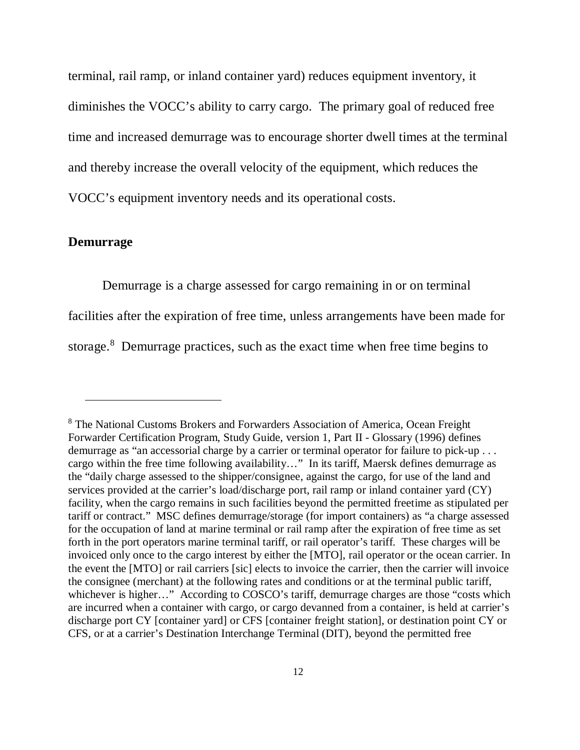terminal, rail ramp, or inland container yard) reduces equipment inventory, it diminishes the VOCC's ability to carry cargo. The primary goal of reduced free time and increased demurrage was to encourage shorter dwell times at the terminal and thereby increase the overall velocity of the equipment, which reduces the VOCC's equipment inventory needs and its operational costs.

## **Demurrage**

-

Demurrage is a charge assessed for cargo remaining in or on terminal facilities after the expiration of free time, unless arrangements have been made for storage.<sup>[8](#page-11-0)</sup> Demurrage practices, such as the exact time when free time begins to

<span id="page-11-0"></span><sup>8</sup> The National Customs Brokers and Forwarders Association of America, Ocean Freight Forwarder Certification Program, Study Guide, version 1, Part II - Glossary (1996) defines demurrage as "an accessorial charge by a carrier or terminal operator for failure to pick-up . . . cargo within the free time following availability…" In its tariff, Maersk defines demurrage as the "daily charge assessed to the shipper/consignee, against the cargo, for use of the land and services provided at the carrier's load/discharge port, rail ramp or inland container yard (CY) facility, when the cargo remains in such facilities beyond the permitted freetime as stipulated per tariff or contract." MSC defines demurrage/storage (for import containers) as "a charge assessed for the occupation of land at marine terminal or rail ramp after the expiration of free time as set forth in the port operators marine terminal tariff, or rail operator's tariff. These charges will be invoiced only once to the cargo interest by either the [MTO], rail operator or the ocean carrier. In the event the [MTO] or rail carriers [sic] elects to invoice the carrier, then the carrier will invoice the consignee (merchant) at the following rates and conditions or at the terminal public tariff, whichever is higher…" According to COSCO's tariff, demurrage charges are those "costs which are incurred when a container with cargo, or cargo devanned from a container, is held at carrier's discharge port CY [container yard] or CFS [container freight station], or destination point CY or CFS, or at a carrier's Destination Interchange Terminal (DIT), beyond the permitted free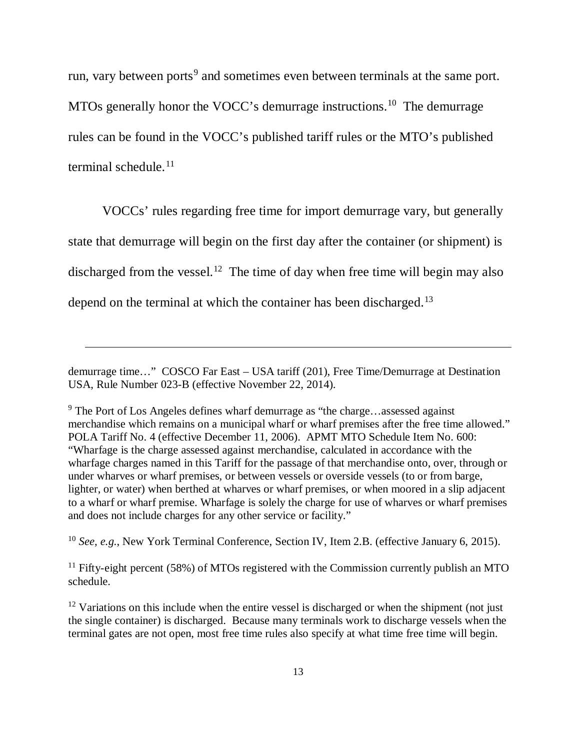run, vary between ports<sup>[9](#page-12-0)</sup> and sometimes even between terminals at the same port. MTOs generally honor the VOCC's demurrage instructions.<sup>10</sup> The demurrage rules can be found in the VOCC's published tariff rules or the MTO's published terminal schedule.<sup>[11](#page-12-2)</sup>

VOCCs' rules regarding free time for import demurrage vary, but generally state that demurrage will begin on the first day after the container (or shipment) is discharged from the vessel.<sup>12</sup> The time of day when free time will begin may also depend on the terminal at which the container has been discharged.<sup>[13](#page-12-1)</sup>

 $\ddot{\phantom{a}}$ 

<span id="page-12-1"></span><sup>10</sup> *See, e.g.*, New York Terminal Conference, Section IV, Item 2.B. (effective January 6, 2015).

<span id="page-12-2"></span><sup>11</sup> Fifty-eight percent (58%) of MTOs registered with the Commission currently publish an MTO schedule.

demurrage time…" COSCO Far East – USA tariff (201), Free Time/Demurrage at Destination USA, Rule Number 023-B (effective November 22, 2014).

<span id="page-12-0"></span><sup>&</sup>lt;sup>9</sup> The Port of Los Angeles defines wharf demurrage as "the charge...assessed against merchandise which remains on a municipal wharf or wharf premises after the free time allowed." POLA Tariff No. 4 (effective December 11, 2006). APMT MTO Schedule Item No. 600: "Wharfage is the charge assessed against merchandise, calculated in accordance with the wharfage charges named in this Tariff for the passage of that merchandise onto, over, through or under wharves or wharf premises, or between vessels or overside vessels (to or from barge, lighter, or water) when berthed at wharves or wharf premises, or when moored in a slip adjacent to a wharf or wharf premise. Wharfage is solely the charge for use of wharves or wharf premises and does not include charges for any other service or facility."

<span id="page-12-3"></span> $12$  Variations on this include when the entire vessel is discharged or when the shipment (not just the single container) is discharged. Because many terminals work to discharge vessels when the terminal gates are not open, most free time rules also specify at what time free time will begin.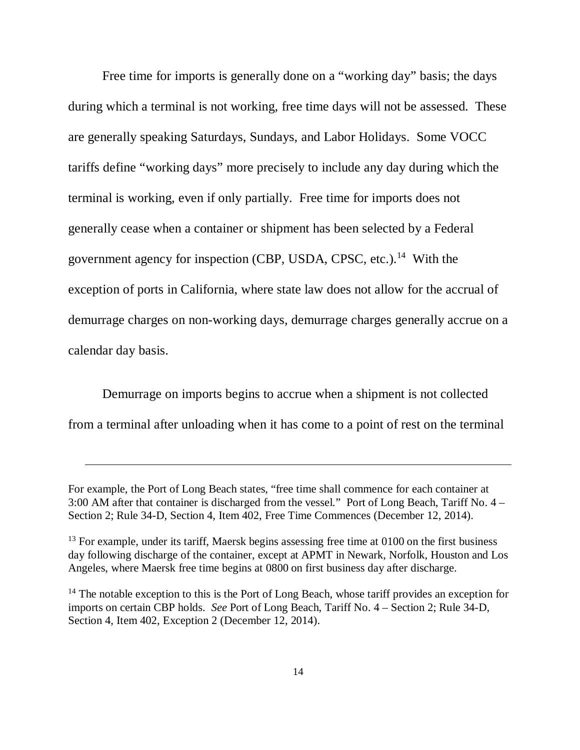Free time for imports is generally done on a "working day" basis; the days during which a terminal is not working, free time days will not be assessed. These are generally speaking Saturdays, Sundays, and Labor Holidays. Some VOCC tariffs define "working days" more precisely to include any day during which the terminal is working, even if only partially. Free time for imports does not generally cease when a container or shipment has been selected by a Federal government agency for inspection (CBP, USDA, CPSC, etc.).<sup>[14](#page-13-0)</sup> With the exception of ports in California, where state law does not allow for the accrual of demurrage charges on non-working days, demurrage charges generally accrue on a calendar day basis.

Demurrage on imports begins to accrue when a shipment is not collected from a terminal after unloading when it has come to a point of rest on the terminal

 $\overline{a}$ 

For example, the Port of Long Beach states, "free time shall commence for each container at 3:00 AM after that container is discharged from the vessel." Port of Long Beach, Tariff No. 4 – Section 2; Rule 34-D, Section 4, Item 402, Free Time Commences (December 12, 2014).

<sup>&</sup>lt;sup>13</sup> For example, under its tariff, Maersk begins assessing free time at 0100 on the first business day following discharge of the container, except at APMT in Newark, Norfolk, Houston and Los Angeles, where Maersk free time begins at 0800 on first business day after discharge.

<span id="page-13-0"></span><sup>&</sup>lt;sup>14</sup> The notable exception to this is the Port of Long Beach, whose tariff provides an exception for imports on certain CBP holds. *See* Port of Long Beach, Tariff No. 4 – Section 2; Rule 34-D, Section 4, Item 402, Exception 2 (December 12, 2014).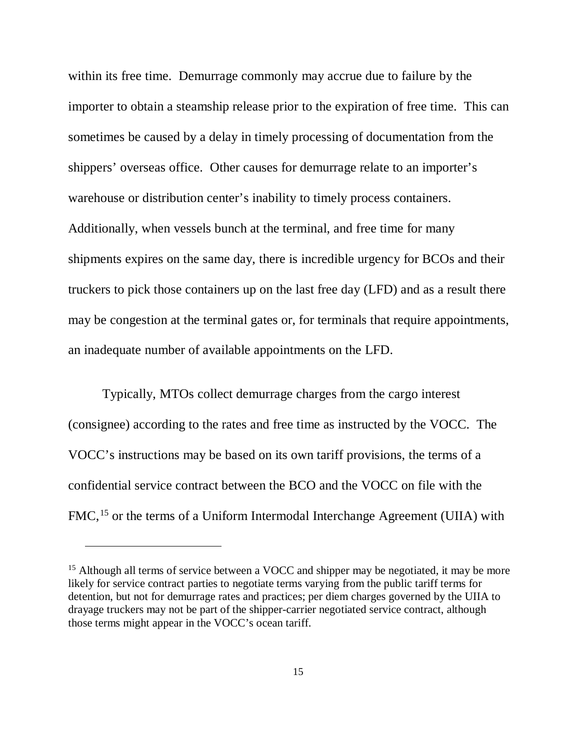within its free time. Demurrage commonly may accrue due to failure by the importer to obtain a steamship release prior to the expiration of free time. This can sometimes be caused by a delay in timely processing of documentation from the shippers' overseas office. Other causes for demurrage relate to an importer's warehouse or distribution center's inability to timely process containers. Additionally, when vessels bunch at the terminal, and free time for many shipments expires on the same day, there is incredible urgency for BCOs and their truckers to pick those containers up on the last free day (LFD) and as a result there may be congestion at the terminal gates or, for terminals that require appointments, an inadequate number of available appointments on the LFD.

Typically, MTOs collect demurrage charges from the cargo interest (consignee) according to the rates and free time as instructed by the VOCC. The VOCC's instructions may be based on its own tariff provisions, the terms of a confidential service contract between the BCO and the VOCC on file with the FMC,<sup>[15](#page-14-0)</sup> or the terms of a Uniform Intermodal Interchange Agreement (UIIA) with

 $\overline{a}$ 

<span id="page-14-0"></span> $15$  Although all terms of service between a VOCC and shipper may be negotiated, it may be more likely for service contract parties to negotiate terms varying from the public tariff terms for detention, but not for demurrage rates and practices; per diem charges governed by the UIIA to drayage truckers may not be part of the shipper-carrier negotiated service contract, although those terms might appear in the VOCC's ocean tariff.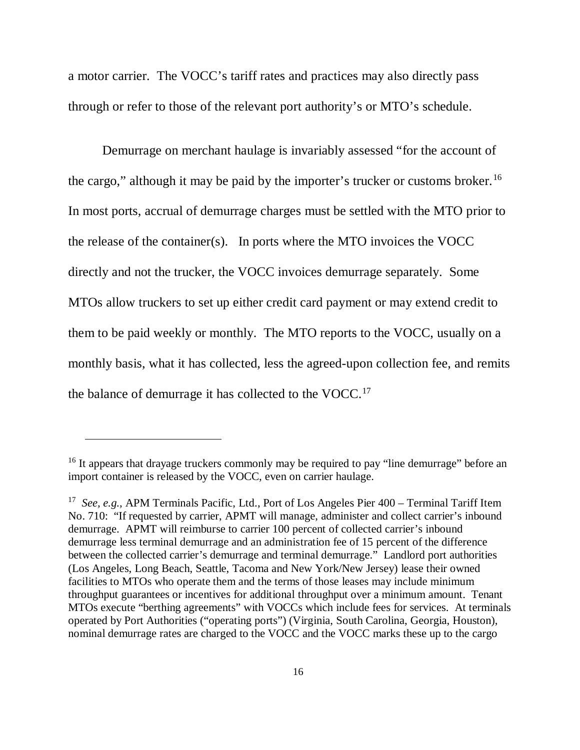a motor carrier. The VOCC's tariff rates and practices may also directly pass through or refer to those of the relevant port authority's or MTO's schedule.

Demurrage on merchant haulage is invariably assessed "for the account of the cargo," although it may be paid by the importer's trucker or customs broker.<sup>16</sup> In most ports, accrual of demurrage charges must be settled with the MTO prior to the release of the container(s). In ports where the MTO invoices the VOCC directly and not the trucker, the VOCC invoices demurrage separately. Some MTOs allow truckers to set up either credit card payment or may extend credit to them to be paid weekly or monthly. The MTO reports to the VOCC, usually on a monthly basis, what it has collected, less the agreed-upon collection fee, and remits the balance of demurrage it has collected to the VOCC.<sup>17</sup>

-

<span id="page-15-0"></span><sup>&</sup>lt;sup>16</sup> It appears that drayage truckers commonly may be required to pay "line demurrage" before an import container is released by the VOCC, even on carrier haulage.

<span id="page-15-1"></span><sup>17</sup> *See, e.g.,* APM Terminals Pacific, Ltd., Port of Los Angeles Pier 400 – Terminal Tariff Item No. 710: "If requested by carrier, APMT will manage, administer and collect carrier's inbound demurrage. APMT will reimburse to carrier 100 percent of collected carrier's inbound demurrage less terminal demurrage and an administration fee of 15 percent of the difference between the collected carrier's demurrage and terminal demurrage." Landlord port authorities (Los Angeles, Long Beach, Seattle, Tacoma and New York/New Jersey) lease their owned facilities to MTOs who operate them and the terms of those leases may include minimum throughput guarantees or incentives for additional throughput over a minimum amount. Tenant MTOs execute "berthing agreements" with VOCCs which include fees for services. At terminals operated by Port Authorities ("operating ports") (Virginia, South Carolina, Georgia, Houston), nominal demurrage rates are charged to the VOCC and the VOCC marks these up to the cargo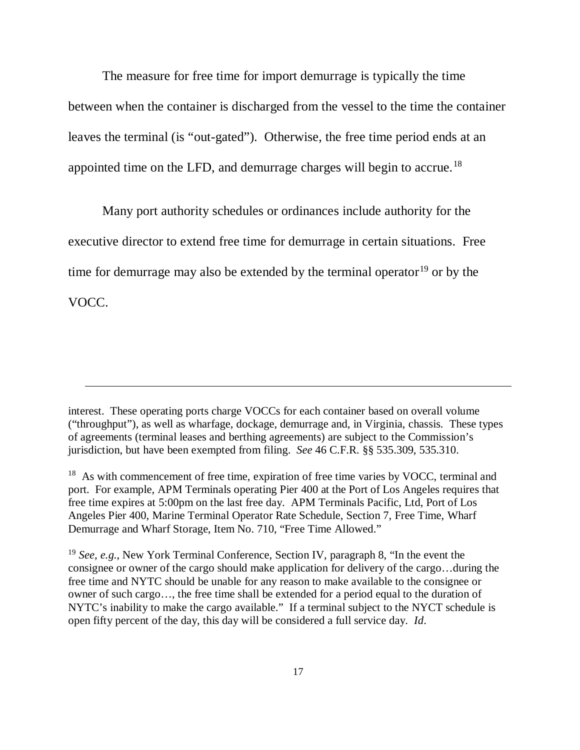The measure for free time for import demurrage is typically the time between when the container is discharged from the vessel to the time the container leaves the terminal (is "out-gated"). Otherwise, the free time period ends at an appointed time on the LFD, and demurrage charges will begin to accrue.[18](#page-16-0) 

Many port authority schedules or ordinances include authority for the executive director to extend free time for demurrage in certain situations. Free time for demurrage may also be extended by the terminal operator<sup>[19](#page-16-1)</sup> or by the VOCC.

 $\ddot{\phantom{a}}$ 

interest. These operating ports charge VOCCs for each container based on overall volume ("throughput"), as well as wharfage, dockage, demurrage and, in Virginia, chassis. These types of agreements (terminal leases and berthing agreements) are subject to the Commission's jurisdiction, but have been exempted from filing. *See* 46 C.F.R. §§ 535.309, 535.310.

<span id="page-16-0"></span><sup>&</sup>lt;sup>18</sup> As with commencement of free time, expiration of free time varies by VOCC, terminal and port. For example, APM Terminals operating Pier 400 at the Port of Los Angeles requires that free time expires at 5:00pm on the last free day. APM Terminals Pacific, Ltd, Port of Los Angeles Pier 400, Marine Terminal Operator Rate Schedule, Section 7, Free Time, Wharf Demurrage and Wharf Storage, Item No. 710, "Free Time Allowed."

<span id="page-16-1"></span><sup>19</sup> *See, e.g*., New York Terminal Conference, Section IV, paragraph 8, "In the event the consignee or owner of the cargo should make application for delivery of the cargo…during the free time and NYTC should be unable for any reason to make available to the consignee or owner of such cargo…, the free time shall be extended for a period equal to the duration of NYTC's inability to make the cargo available." If a terminal subject to the NYCT schedule is open fifty percent of the day, this day will be considered a full service day. *Id*.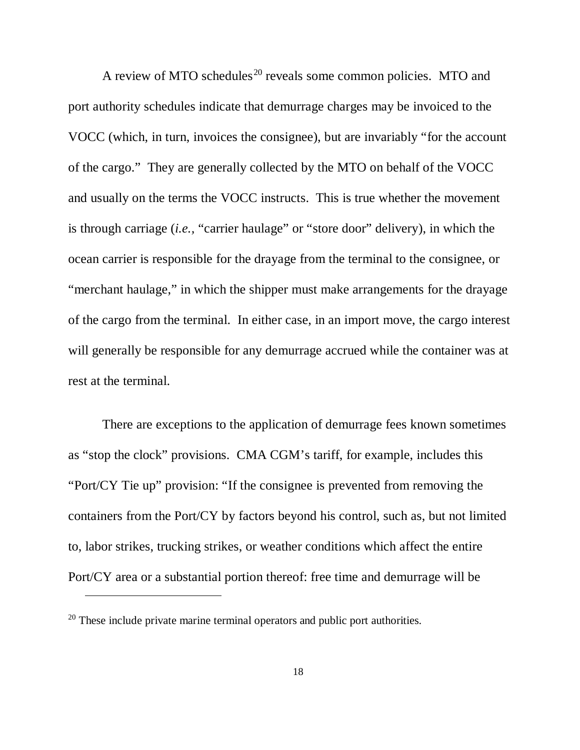A review of MTO schedules<sup>[20](#page-17-0)</sup> reveals some common policies. MTO and port authority schedules indicate that demurrage charges may be invoiced to the VOCC (which, in turn, invoices the consignee), but are invariably "for the account of the cargo." They are generally collected by the MTO on behalf of the VOCC and usually on the terms the VOCC instructs. This is true whether the movement is through carriage (*i.e.,* "carrier haulage" or "store door" delivery), in which the ocean carrier is responsible for the drayage from the terminal to the consignee, or "merchant haulage," in which the shipper must make arrangements for the drayage of the cargo from the terminal. In either case, in an import move, the cargo interest will generally be responsible for any demurrage accrued while the container was at rest at the terminal.

There are exceptions to the application of demurrage fees known sometimes as "stop the clock" provisions. CMA CGM's tariff, for example, includes this "Port/CY Tie up" provision: "If the consignee is prevented from removing the containers from the Port/CY by factors beyond his control, such as, but not limited to, labor strikes, trucking strikes, or weather conditions which affect the entire Port/CY area or a substantial portion thereof: free time and demurrage will be

 $\ddot{\phantom{a}}$ 

<span id="page-17-0"></span> $20$  These include private marine terminal operators and public port authorities.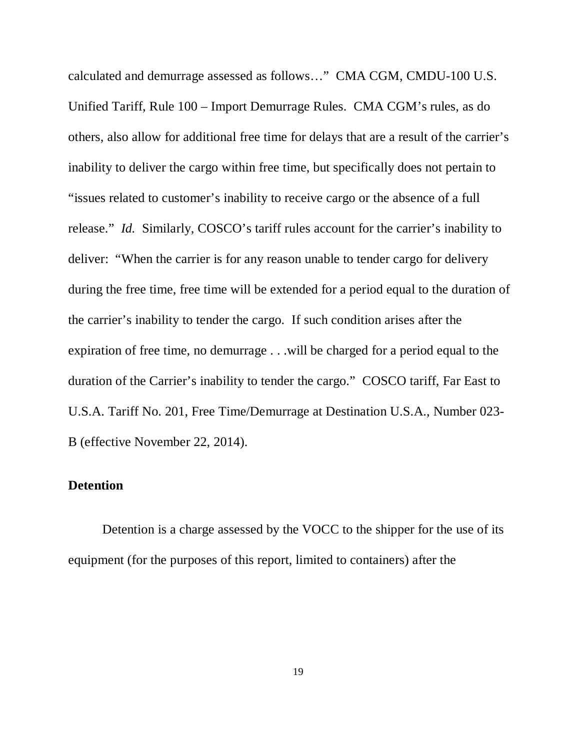calculated and demurrage assessed as follows…" CMA CGM, CMDU-100 U.S. Unified Tariff, Rule 100 – Import Demurrage Rules. CMA CGM's rules, as do others, also allow for additional free time for delays that are a result of the carrier's inability to deliver the cargo within free time, but specifically does not pertain to "issues related to customer's inability to receive cargo or the absence of a full release." *Id.* Similarly, COSCO's tariff rules account for the carrier's inability to deliver: "When the carrier is for any reason unable to tender cargo for delivery during the free time, free time will be extended for a period equal to the duration of the carrier's inability to tender the cargo. If such condition arises after the expiration of free time, no demurrage . . .will be charged for a period equal to the duration of the Carrier's inability to tender the cargo." COSCO tariff, Far East to U.S.A. Tariff No. 201, Free Time/Demurrage at Destination U.S.A., Number 023- B (effective November 22, 2014).

## **Detention**

Detention is a charge assessed by the VOCC to the shipper for the use of its equipment (for the purposes of this report, limited to containers) after the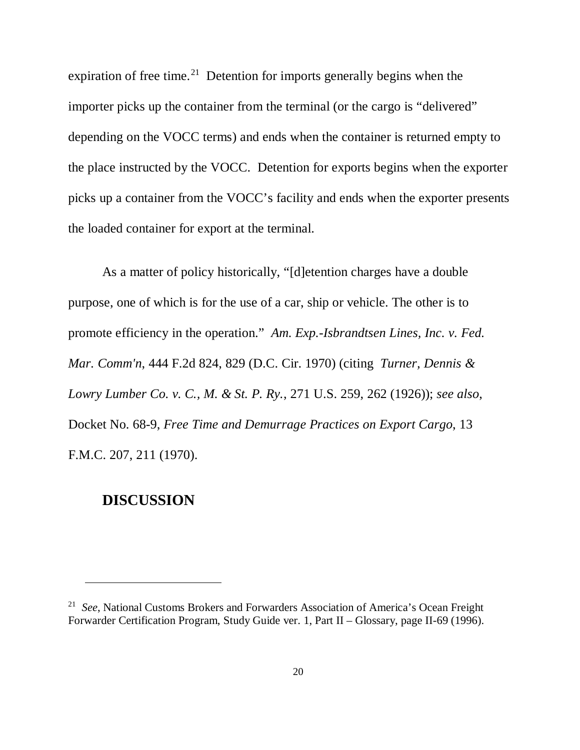expiration of free time.<sup>21</sup> Detention for imports generally begins when the importer picks up the container from the terminal (or the cargo is "delivered" depending on the VOCC terms) and ends when the container is returned empty to the place instructed by the VOCC. Detention for exports begins when the exporter picks up a container from the VOCC's facility and ends when the exporter presents the loaded container for export at the terminal.

As a matter of policy historically, "[d]etention charges have a double purpose, one of which is for the use of a car, ship or vehicle. The other is to promote efficiency in the operation." *Am. Exp.-Isbrandtsen Lines, Inc. v. Fed. Mar. Comm'n*, 444 F.2d 824, 829 (D.C. Cir. 1970) (citing *Turner, Dennis & Lowry Lumber Co. v. C., M. & St. P. Ry.*, 271 U.S. 259, 262 (1926)); *see also*, Docket No. 68-9, *Free Time and Demurrage Practices on Export Cargo*, 13 F.M.C. 207, 211 (1970).

# **DISCUSSION**

 $\overline{a}$ 

<span id="page-19-0"></span><sup>21</sup> *See*, National Customs Brokers and Forwarders Association of America's Ocean Freight Forwarder Certification Program, Study Guide ver. 1, Part II – Glossary, page II-69 (1996).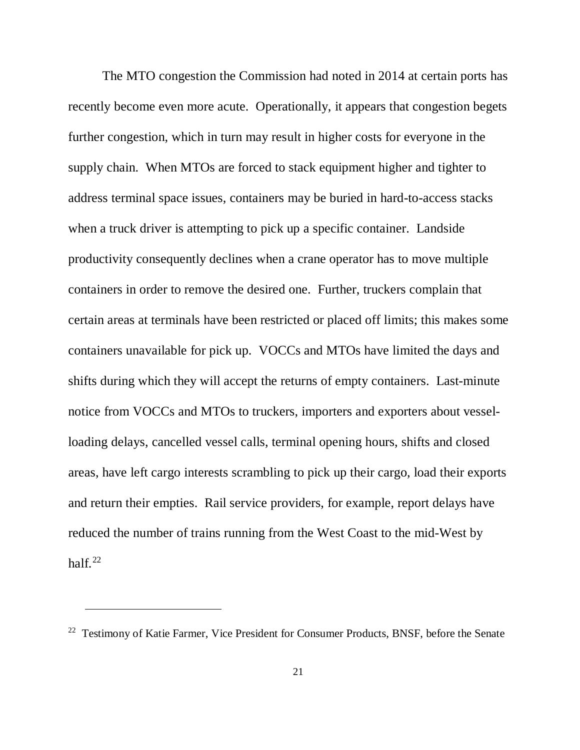The MTO congestion the Commission had noted in 2014 at certain ports has recently become even more acute. Operationally, it appears that congestion begets further congestion, which in turn may result in higher costs for everyone in the supply chain. When MTOs are forced to stack equipment higher and tighter to address terminal space issues, containers may be buried in hard-to-access stacks when a truck driver is attempting to pick up a specific container. Landside productivity consequently declines when a crane operator has to move multiple containers in order to remove the desired one. Further, truckers complain that certain areas at terminals have been restricted or placed off limits; this makes some containers unavailable for pick up. VOCCs and MTOs have limited the days and shifts during which they will accept the returns of empty containers. Last-minute notice from VOCCs and MTOs to truckers, importers and exporters about vesselloading delays, cancelled vessel calls, terminal opening hours, shifts and closed areas, have left cargo interests scrambling to pick up their cargo, load their exports and return their empties. Rail service providers, for example, report delays have reduced the number of trains running from the West Coast to the mid-West by half. $^{22}$ 

 $\ddot{\phantom{a}}$ 

<span id="page-20-0"></span><sup>&</sup>lt;sup>22</sup> Testimony of Katie Farmer, Vice President for Consumer Products, BNSF, before the Senate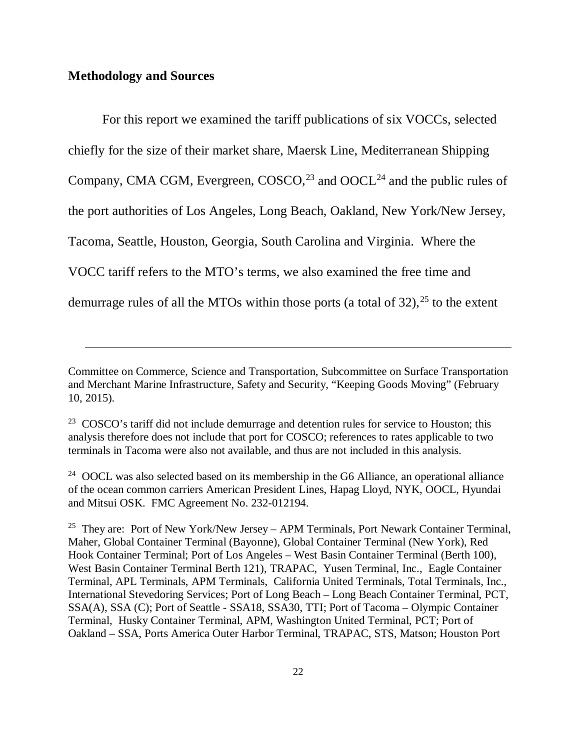#### **Methodology and Sources**

 $\overline{a}$ 

For this report we examined the tariff publications of six VOCCs, selected chiefly for the size of their market share, Maersk Line, Mediterranean Shipping Company, CMA CGM, Evergreen, COSCO,<sup>[23](#page-21-0)</sup> and OOCL<sup>[24](#page-21-1)</sup> and the public rules of the port authorities of Los Angeles, Long Beach, Oakland, New York/New Jersey, Tacoma, Seattle, Houston, Georgia, South Carolina and Virginia. Where the VOCC tariff refers to the MTO's terms, we also examined the free time and demurrage rules of all the MTOs within those ports (a total of 32), [25](#page-21-2) to the extent

Committee on Commerce, Science and Transportation, Subcommittee on Surface Transportation and Merchant Marine Infrastructure, Safety and Security, "Keeping Goods Moving" (February 10, 2015).

<span id="page-21-0"></span> $23$  COSCO's tariff did not include demurrage and detention rules for service to Houston; this analysis therefore does not include that port for COSCO; references to rates applicable to two terminals in Tacoma were also not available, and thus are not included in this analysis.

<span id="page-21-1"></span><sup>&</sup>lt;sup>24</sup> OOCL was also selected based on its membership in the G6 Alliance, an operational alliance of the ocean common carriers American President Lines, Hapag Lloyd, NYK, OOCL, Hyundai and Mitsui OSK. FMC Agreement No. 232-012194.

<span id="page-21-2"></span><sup>&</sup>lt;sup>25</sup> They are: Port of New York/New Jersey – APM Terminals, Port Newark Container Terminal, Maher, Global Container Terminal (Bayonne), Global Container Terminal (New York), Red Hook Container Terminal; Port of Los Angeles – West Basin Container Terminal (Berth 100), West Basin Container Terminal Berth 121), TRAPAC, Yusen Terminal, Inc., Eagle Container Terminal, APL Terminals, APM Terminals, California United Terminals, Total Terminals, Inc., International Stevedoring Services; Port of Long Beach – Long Beach Container Terminal, PCT, SSA(A), SSA (C); Port of Seattle - SSA18, SSA30, TTI; Port of Tacoma – Olympic Container Terminal, Husky Container Terminal, APM, Washington United Terminal, PCT; Port of Oakland – SSA, Ports America Outer Harbor Terminal, TRAPAC, STS, Matson; Houston Port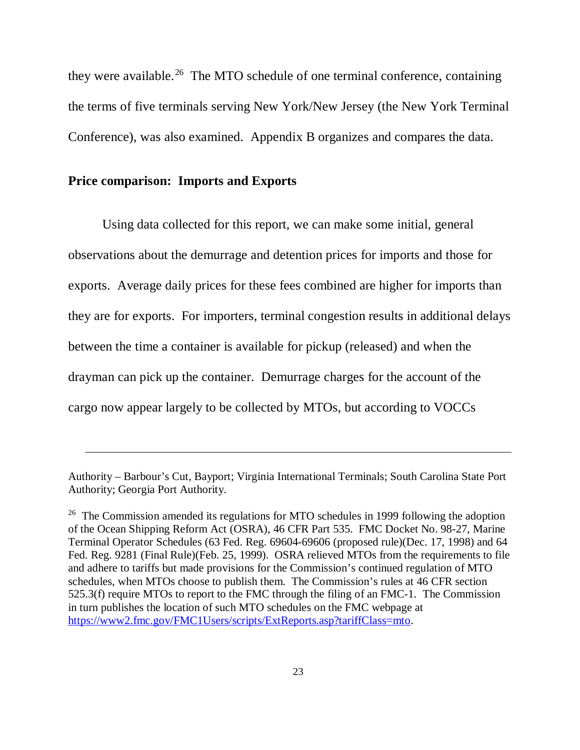they were available.<sup>26</sup> The MTO schedule of one terminal conference, containing the terms of five terminals serving New York/New Jersey (the New York Terminal Conference), was also examined. Appendix B organizes and compares the data.

#### **Price comparison: Imports and Exports**

 $\ddot{\phantom{a}}$ 

Using data collected for this report, we can make some initial, general observations about the demurrage and detention prices for imports and those for exports. Average daily prices for these fees combined are higher for imports than they are for exports. For importers, terminal congestion results in additional delays between the time a container is available for pickup (released) and when the drayman can pick up the container. Demurrage charges for the account of the cargo now appear largely to be collected by MTOs, but according to VOCCs

Authority – Barbour's Cut, Bayport; Virginia International Terminals; South Carolina State Port Authority; Georgia Port Authority.

<span id="page-22-0"></span><sup>&</sup>lt;sup>26</sup> The Commission amended its regulations for MTO schedules in 1999 following the adoption of the Ocean Shipping Reform Act (OSRA), 46 CFR Part 535. FMC Docket No. 98-27, Marine Terminal Operator Schedules (63 Fed. Reg. 69604-69606 (proposed rule)(Dec. 17, 1998) and 64 Fed. Reg. 9281 (Final Rule)(Feb. 25, 1999). OSRA relieved MTOs from the requirements to file and adhere to tariffs but made provisions for the Commission's continued regulation of MTO schedules, when MTOs choose to publish them. The Commission's rules at 46 CFR section 525.3(f) require MTOs to report to the FMC through the filing of an FMC-1. The Commission in turn publishes the location of such MTO schedules on the FMC webpage at [https://www2.fmc.gov/FMC1Users/scripts/ExtReports.asp?tariffClass=mto.](https://www2.fmc.gov/FMC1Users/scripts/ExtReports.asp?tariffClass=mto)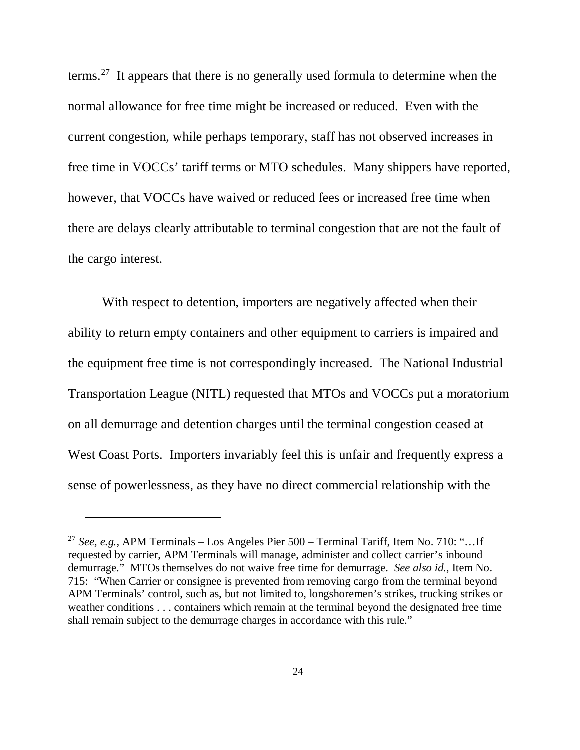terms.[27](#page-23-0) It appears that there is no generally used formula to determine when the normal allowance for free time might be increased or reduced. Even with the current congestion, while perhaps temporary, staff has not observed increases in free time in VOCCs' tariff terms or MTO schedules. Many shippers have reported, however, that VOCCs have waived or reduced fees or increased free time when there are delays clearly attributable to terminal congestion that are not the fault of the cargo interest.

With respect to detention, importers are negatively affected when their ability to return empty containers and other equipment to carriers is impaired and the equipment free time is not correspondingly increased. The National Industrial Transportation League (NITL) requested that MTOs and VOCCs put a moratorium on all demurrage and detention charges until the terminal congestion ceased at West Coast Ports. Importers invariably feel this is unfair and frequently express a sense of powerlessness, as they have no direct commercial relationship with the

 $\ddot{\phantom{a}}$ 

<span id="page-23-0"></span><sup>27</sup> *See, e.g.,* APM Terminals – Los Angeles Pier 500 – Terminal Tariff, Item No. 710: "…If requested by carrier, APM Terminals will manage, administer and collect carrier's inbound demurrage." MTOs themselves do not waive free time for demurrage. *See also id.*, Item No. 715: "When Carrier or consignee is prevented from removing cargo from the terminal beyond APM Terminals' control, such as, but not limited to, longshoremen's strikes, trucking strikes or weather conditions . . . containers which remain at the terminal beyond the designated free time shall remain subject to the demurrage charges in accordance with this rule."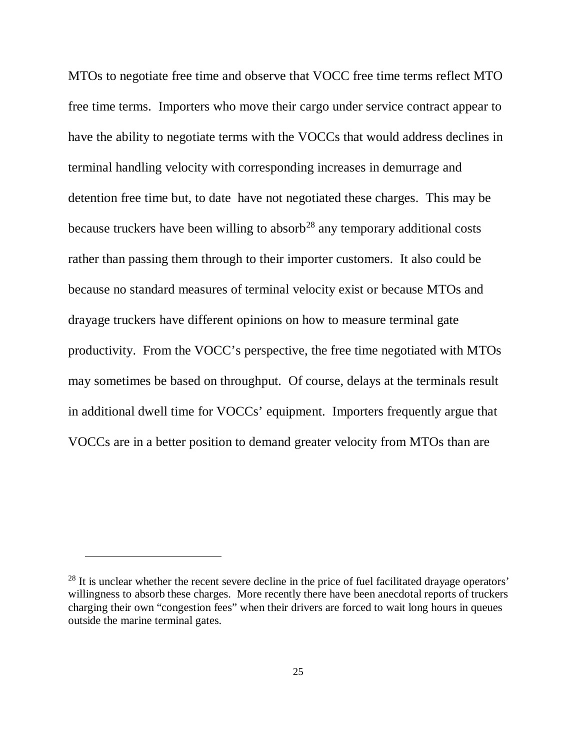MTOs to negotiate free time and observe that VOCC free time terms reflect MTO free time terms. Importers who move their cargo under service contract appear to have the ability to negotiate terms with the VOCCs that would address declines in terminal handling velocity with corresponding increases in demurrage and detention free time but, to date have not negotiated these charges. This may be because truckers have been willing to absorb<sup>[28](#page-24-0)</sup> any temporary additional costs rather than passing them through to their importer customers. It also could be because no standard measures of terminal velocity exist or because MTOs and drayage truckers have different opinions on how to measure terminal gate productivity. From the VOCC's perspective, the free time negotiated with MTOs may sometimes be based on throughput. Of course, delays at the terminals result in additional dwell time for VOCCs' equipment. Importers frequently argue that VOCCs are in a better position to demand greater velocity from MTOs than are

 $\ddot{\phantom{a}}$ 

<span id="page-24-0"></span><sup>&</sup>lt;sup>28</sup> It is unclear whether the recent severe decline in the price of fuel facilitated drayage operators' willingness to absorb these charges. More recently there have been anecdotal reports of truckers charging their own "congestion fees" when their drivers are forced to wait long hours in queues outside the marine terminal gates.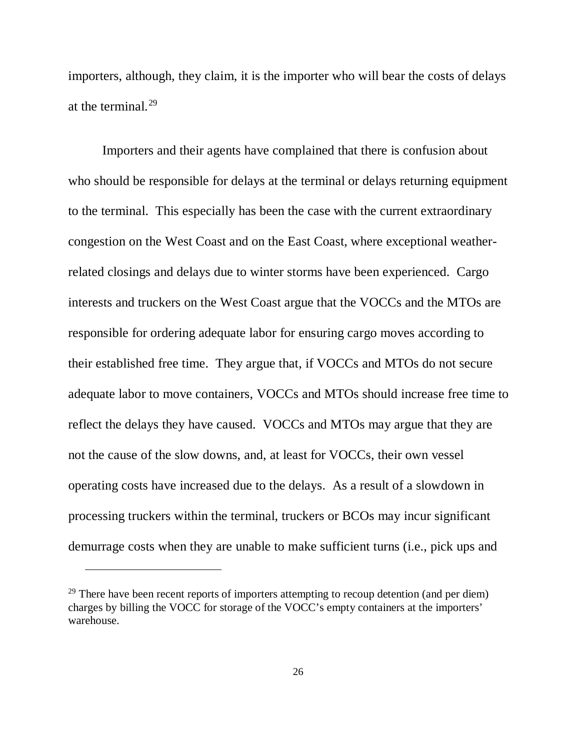importers, although, they claim, it is the importer who will bear the costs of delays at the terminal. $^{29}$  $^{29}$  $^{29}$ 

Importers and their agents have complained that there is confusion about who should be responsible for delays at the terminal or delays returning equipment to the terminal. This especially has been the case with the current extraordinary congestion on the West Coast and on the East Coast, where exceptional weatherrelated closings and delays due to winter storms have been experienced. Cargo interests and truckers on the West Coast argue that the VOCCs and the MTOs are responsible for ordering adequate labor for ensuring cargo moves according to their established free time. They argue that, if VOCCs and MTOs do not secure adequate labor to move containers, VOCCs and MTOs should increase free time to reflect the delays they have caused. VOCCs and MTOs may argue that they are not the cause of the slow downs, and, at least for VOCCs, their own vessel operating costs have increased due to the delays. As a result of a slowdown in processing truckers within the terminal, truckers or BCOs may incur significant demurrage costs when they are unable to make sufficient turns (i.e., pick ups and

-

<span id="page-25-0"></span> $29$  There have been recent reports of importers attempting to recoup detention (and per diem) charges by billing the VOCC for storage of the VOCC's empty containers at the importers' warehouse.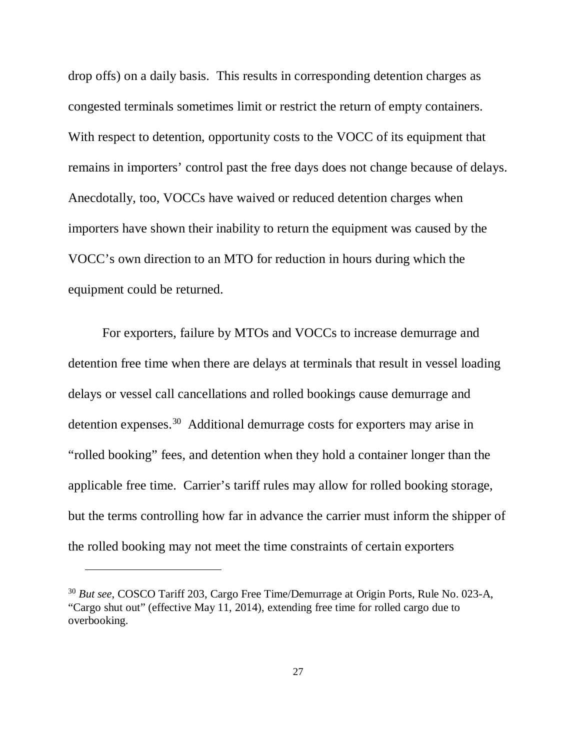drop offs) on a daily basis. This results in corresponding detention charges as congested terminals sometimes limit or restrict the return of empty containers. With respect to detention, opportunity costs to the VOCC of its equipment that remains in importers' control past the free days does not change because of delays. Anecdotally, too, VOCCs have waived or reduced detention charges when importers have shown their inability to return the equipment was caused by the VOCC's own direction to an MTO for reduction in hours during which the equipment could be returned.

For exporters, failure by MTOs and VOCCs to increase demurrage and detention free time when there are delays at terminals that result in vessel loading delays or vessel call cancellations and rolled bookings cause demurrage and detention expenses.[30](#page-26-0) Additional demurrage costs for exporters may arise in "rolled booking" fees, and detention when they hold a container longer than the applicable free time. Carrier's tariff rules may allow for rolled booking storage, but the terms controlling how far in advance the carrier must inform the shipper of the rolled booking may not meet the time constraints of certain exporters

-

<span id="page-26-0"></span><sup>30</sup> *But see*, COSCO Tariff 203, Cargo Free Time/Demurrage at Origin Ports, Rule No. 023-A, "Cargo shut out" (effective May 11, 2014), extending free time for rolled cargo due to overbooking.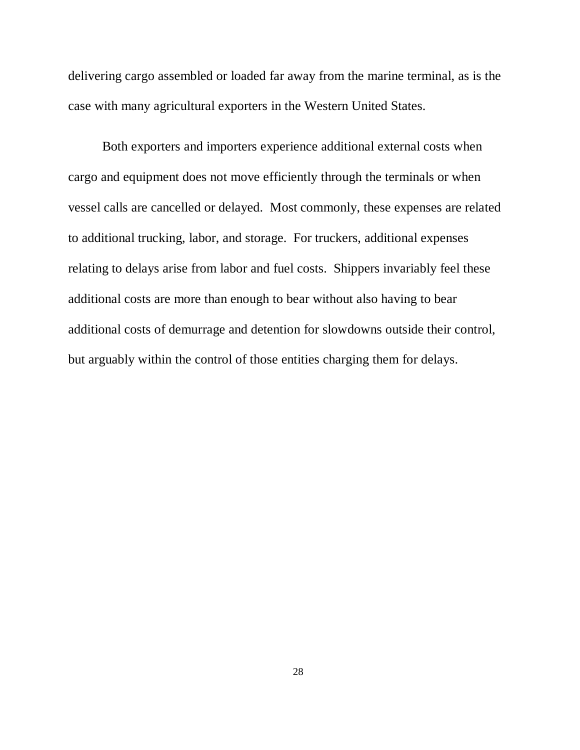delivering cargo assembled or loaded far away from the marine terminal, as is the case with many agricultural exporters in the Western United States.

Both exporters and importers experience additional external costs when cargo and equipment does not move efficiently through the terminals or when vessel calls are cancelled or delayed. Most commonly, these expenses are related to additional trucking, labor, and storage. For truckers, additional expenses relating to delays arise from labor and fuel costs. Shippers invariably feel these additional costs are more than enough to bear without also having to bear additional costs of demurrage and detention for slowdowns outside their control, but arguably within the control of those entities charging them for delays.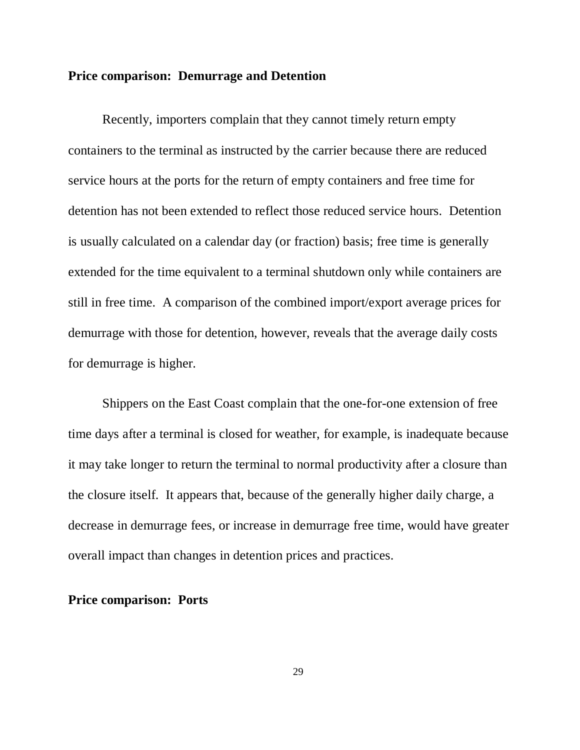## **Price comparison: Demurrage and Detention**

Recently, importers complain that they cannot timely return empty containers to the terminal as instructed by the carrier because there are reduced service hours at the ports for the return of empty containers and free time for detention has not been extended to reflect those reduced service hours. Detention is usually calculated on a calendar day (or fraction) basis; free time is generally extended for the time equivalent to a terminal shutdown only while containers are still in free time. A comparison of the combined import/export average prices for demurrage with those for detention, however, reveals that the average daily costs for demurrage is higher.

Shippers on the East Coast complain that the one-for-one extension of free time days after a terminal is closed for weather, for example, is inadequate because it may take longer to return the terminal to normal productivity after a closure than the closure itself. It appears that, because of the generally higher daily charge, a decrease in demurrage fees, or increase in demurrage free time, would have greater overall impact than changes in detention prices and practices.

## **Price comparison: Ports**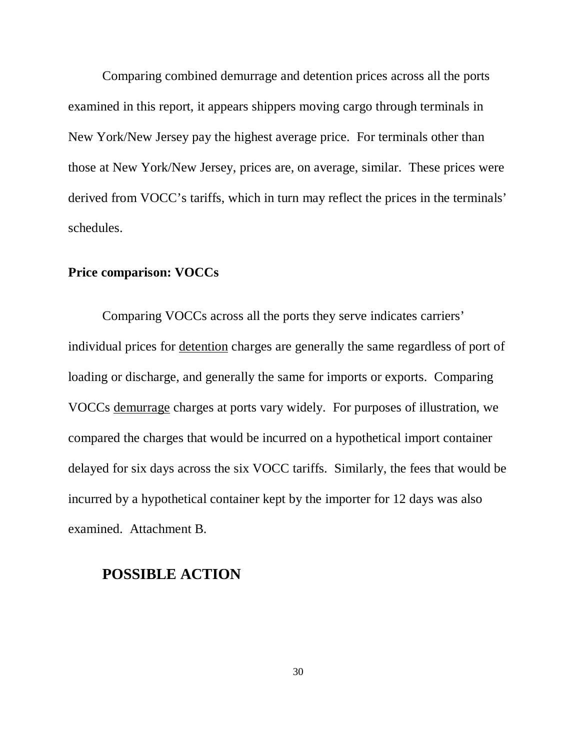Comparing combined demurrage and detention prices across all the ports examined in this report, it appears shippers moving cargo through terminals in New York/New Jersey pay the highest average price. For terminals other than those at New York/New Jersey, prices are, on average, similar. These prices were derived from VOCC's tariffs, which in turn may reflect the prices in the terminals' schedules.

# **Price comparison: VOCCs**

Comparing VOCCs across all the ports they serve indicates carriers' individual prices for detention charges are generally the same regardless of port of loading or discharge, and generally the same for imports or exports. Comparing VOCCs demurrage charges at ports vary widely. For purposes of illustration, we compared the charges that would be incurred on a hypothetical import container delayed for six days across the six VOCC tariffs. Similarly, the fees that would be incurred by a hypothetical container kept by the importer for 12 days was also examined. Attachment B.

# **POSSIBLE ACTION**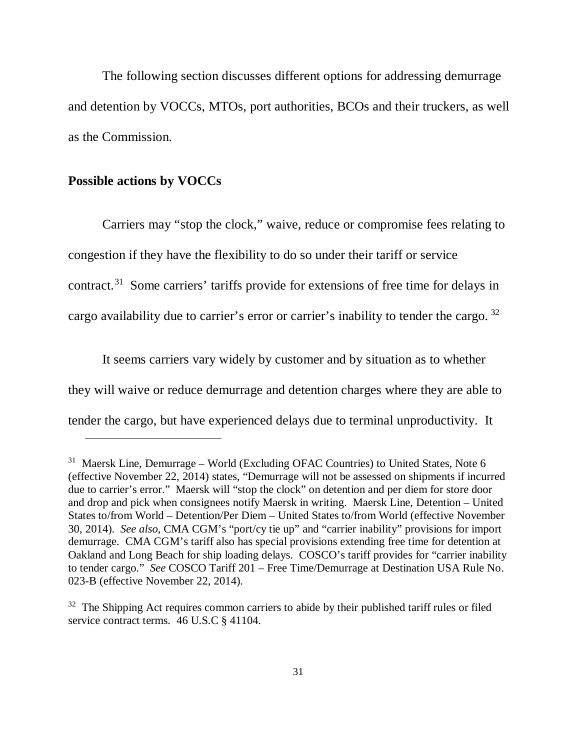The following section discusses different options for addressing demurrage and detention by VOCCs, MTOs, port authorities, BCOs and their truckers, as well as the Commission.

## **Possible actions by VOCCs**

 $\overline{a}$ 

Carriers may "stop the clock," waive, reduce or compromise fees relating to congestion if they have the flexibility to do so under their tariff or service contract. [31](#page-30-0) Some carriers' tariffs provide for extensions of free time for delays in cargo availability due to carrier's error or carrier's inability to tender the cargo. [32](#page-30-1)

It seems carriers vary widely by customer and by situation as to whether they will waive or reduce demurrage and detention charges where they are able to tender the cargo, but have experienced delays due to terminal unproductivity. It

<span id="page-30-0"></span> $31$  Maersk Line, Demurrage – World (Excluding OFAC Countries) to United States, Note 6 (effective November 22, 2014) states, "Demurrage will not be assessed on shipments if incurred due to carrier's error." Maersk will "stop the clock" on detention and per diem for store door and drop and pick when consignees notify Maersk in writing. Maersk Line, Detention – United States to/from World – Detention/Per Diem – United States to/from World (effective November 30, 2014). *See also*, CMA CGM's "port/cy tie up" and "carrier inability" provisions for import demurrage. CMA CGM's tariff also has special provisions extending free time for detention at Oakland and Long Beach for ship loading delays. COSCO's tariff provides for "carrier inability to tender cargo." *See* COSCO Tariff 201 – Free Time/Demurrage at Destination USA Rule No. 023-B (effective November 22, 2014).

<span id="page-30-1"></span> $32$  The Shipping Act requires common carriers to abide by their published tariff rules or filed service contract terms. 46 U.S.C § 41104.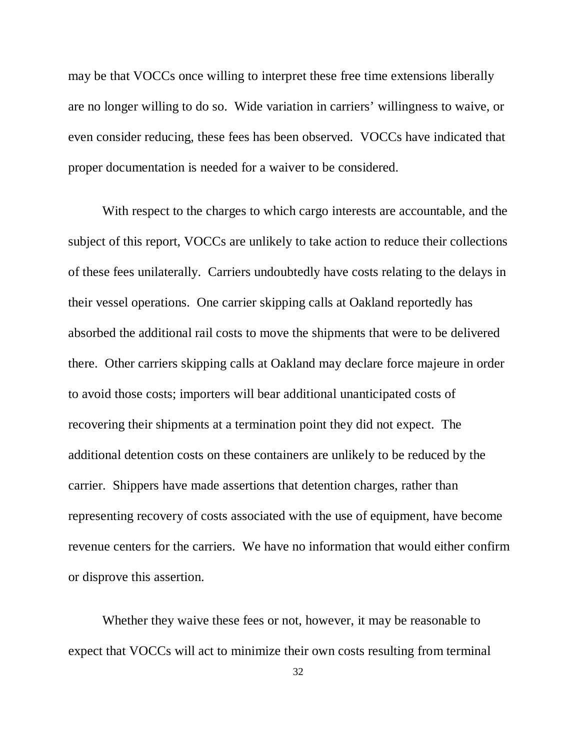may be that VOCCs once willing to interpret these free time extensions liberally are no longer willing to do so. Wide variation in carriers' willingness to waive, or even consider reducing, these fees has been observed. VOCCs have indicated that proper documentation is needed for a waiver to be considered.

With respect to the charges to which cargo interests are accountable, and the subject of this report, VOCCs are unlikely to take action to reduce their collections of these fees unilaterally. Carriers undoubtedly have costs relating to the delays in their vessel operations. One carrier skipping calls at Oakland reportedly has absorbed the additional rail costs to move the shipments that were to be delivered there. Other carriers skipping calls at Oakland may declare force majeure in order to avoid those costs; importers will bear additional unanticipated costs of recovering their shipments at a termination point they did not expect. The additional detention costs on these containers are unlikely to be reduced by the carrier. Shippers have made assertions that detention charges, rather than representing recovery of costs associated with the use of equipment, have become revenue centers for the carriers. We have no information that would either confirm or disprove this assertion.

Whether they waive these fees or not, however, it may be reasonable to expect that VOCCs will act to minimize their own costs resulting from terminal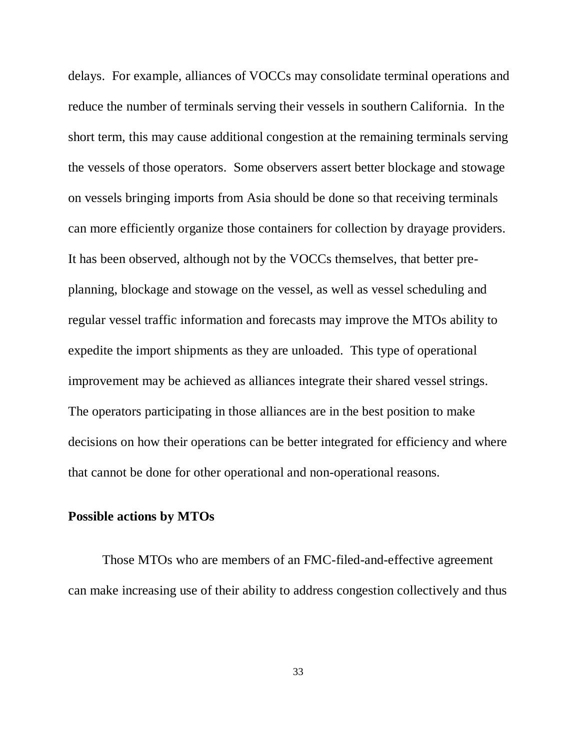delays. For example, alliances of VOCCs may consolidate terminal operations and reduce the number of terminals serving their vessels in southern California. In the short term, this may cause additional congestion at the remaining terminals serving the vessels of those operators. Some observers assert better blockage and stowage on vessels bringing imports from Asia should be done so that receiving terminals can more efficiently organize those containers for collection by drayage providers. It has been observed, although not by the VOCCs themselves, that better preplanning, blockage and stowage on the vessel, as well as vessel scheduling and regular vessel traffic information and forecasts may improve the MTOs ability to expedite the import shipments as they are unloaded. This type of operational improvement may be achieved as alliances integrate their shared vessel strings. The operators participating in those alliances are in the best position to make decisions on how their operations can be better integrated for efficiency and where that cannot be done for other operational and non-operational reasons.

## **Possible actions by MTOs**

Those MTOs who are members of an FMC-filed-and-effective agreement can make increasing use of their ability to address congestion collectively and thus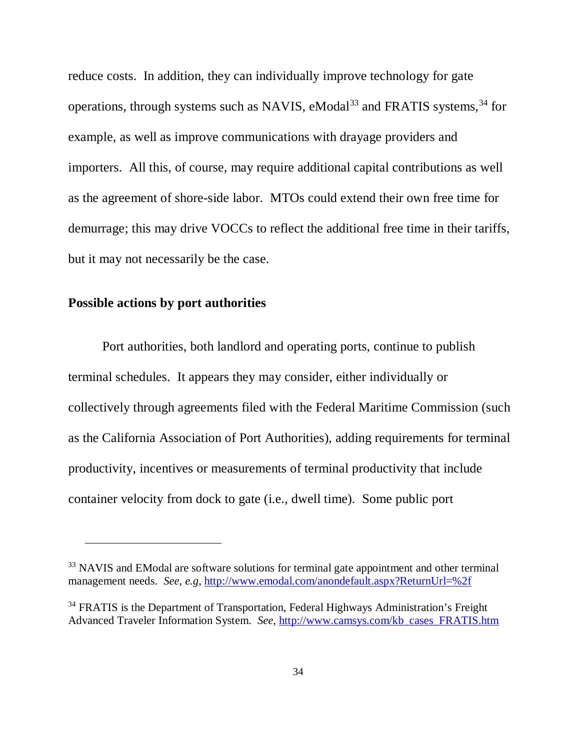reduce costs. In addition, they can individually improve technology for gate operations, through systems such as NAVIS, eModal<sup>[33](#page-33-0)</sup> and FRATIS systems,  $34$  for example, as well as improve communications with drayage providers and importers. All this, of course, may require additional capital contributions as well as the agreement of shore-side labor. MTOs could extend their own free time for demurrage; this may drive VOCCs to reflect the additional free time in their tariffs, but it may not necessarily be the case.

## **Possible actions by port authorities**

 $\ddot{\phantom{a}}$ 

Port authorities, both landlord and operating ports, continue to publish terminal schedules. It appears they may consider, either individually or collectively through agreements filed with the Federal Maritime Commission (such as the California Association of Port Authorities), adding requirements for terminal productivity, incentives or measurements of terminal productivity that include container velocity from dock to gate (i.e., dwell time). Some public port

<span id="page-33-0"></span><sup>&</sup>lt;sup>33</sup> NAVIS and EModal are software solutions for terminal gate appointment and other terminal management needs. *See, e.g*,<http://www.emodal.com/anondefault.aspx?ReturnUrl=%2f>

<span id="page-33-1"></span><sup>&</sup>lt;sup>34</sup> FRATIS is the Department of Transportation, Federal Highways Administration's Freight Advanced Traveler Information System. *See,* [http://www.camsys.com/kb\\_cases\\_FRATIS.htm](http://www.camsys.com/kb_cases_FRATIS.htm)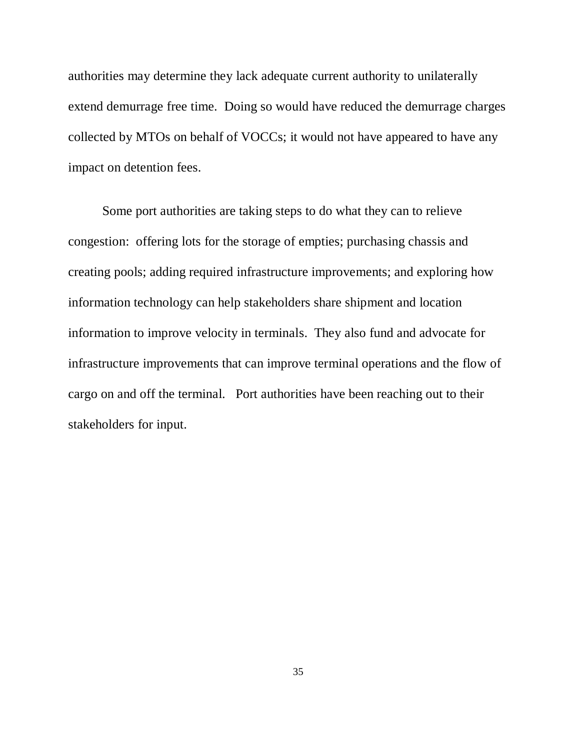authorities may determine they lack adequate current authority to unilaterally extend demurrage free time. Doing so would have reduced the demurrage charges collected by MTOs on behalf of VOCCs; it would not have appeared to have any impact on detention fees.

Some port authorities are taking steps to do what they can to relieve congestion: offering lots for the storage of empties; purchasing chassis and creating pools; adding required infrastructure improvements; and exploring how information technology can help stakeholders share shipment and location information to improve velocity in terminals. They also fund and advocate for infrastructure improvements that can improve terminal operations and the flow of cargo on and off the terminal. Port authorities have been reaching out to their stakeholders for input.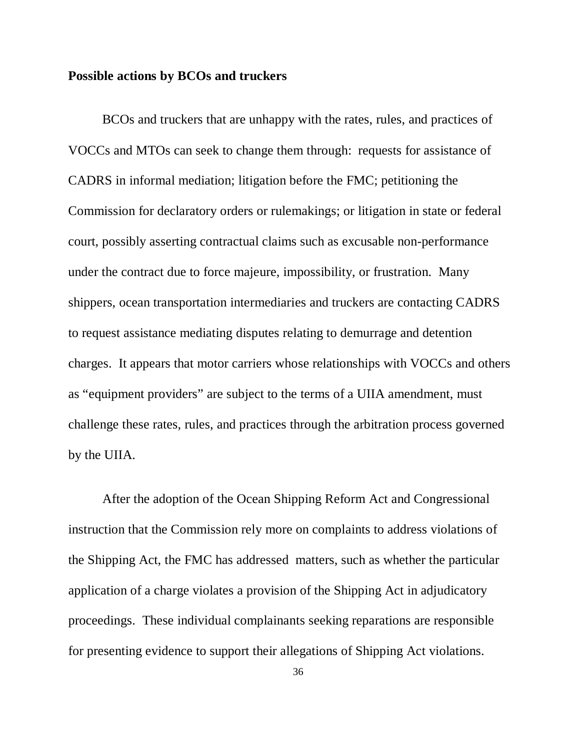## **Possible actions by BCOs and truckers**

BCOs and truckers that are unhappy with the rates, rules, and practices of VOCCs and MTOs can seek to change them through: requests for assistance of CADRS in informal mediation; litigation before the FMC; petitioning the Commission for declaratory orders or rulemakings; or litigation in state or federal court, possibly asserting contractual claims such as excusable non-performance under the contract due to force majeure, impossibility, or frustration. Many shippers, ocean transportation intermediaries and truckers are contacting CADRS to request assistance mediating disputes relating to demurrage and detention charges. It appears that motor carriers whose relationships with VOCCs and others as "equipment providers" are subject to the terms of a UIIA amendment, must challenge these rates, rules, and practices through the arbitration process governed by the UIIA.

After the adoption of the Ocean Shipping Reform Act and Congressional instruction that the Commission rely more on complaints to address violations of the Shipping Act, the FMC has addressed matters, such as whether the particular application of a charge violates a provision of the Shipping Act in adjudicatory proceedings. These individual complainants seeking reparations are responsible for presenting evidence to support their allegations of Shipping Act violations.

36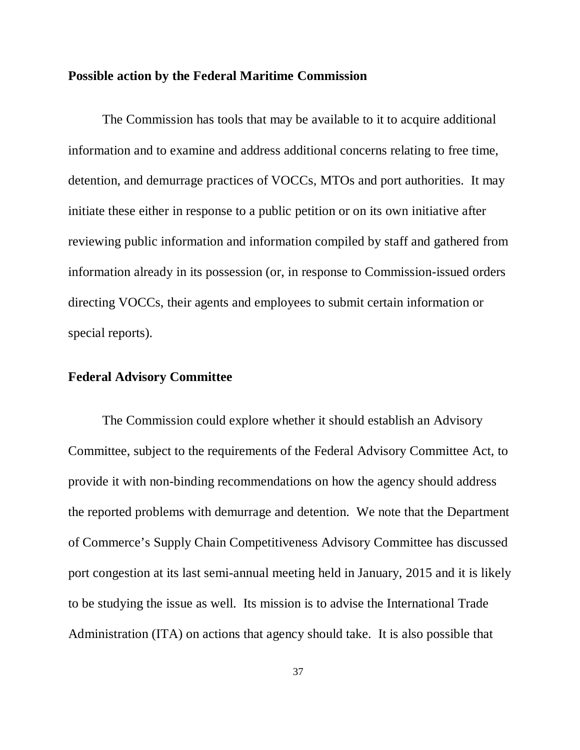#### **Possible action by the Federal Maritime Commission**

The Commission has tools that may be available to it to acquire additional information and to examine and address additional concerns relating to free time, detention, and demurrage practices of VOCCs, MTOs and port authorities. It may initiate these either in response to a public petition or on its own initiative after reviewing public information and information compiled by staff and gathered from information already in its possession (or, in response to Commission-issued orders directing VOCCs, their agents and employees to submit certain information or special reports).

## **Federal Advisory Committee**

The Commission could explore whether it should establish an Advisory Committee, subject to the requirements of the Federal Advisory Committee Act, to provide it with non-binding recommendations on how the agency should address the reported problems with demurrage and detention. We note that the Department of Commerce's Supply Chain Competitiveness Advisory Committee has discussed port congestion at its last semi-annual meeting held in January, 2015 and it is likely to be studying the issue as well. Its mission is to advise the International Trade Administration (ITA) on actions that agency should take. It is also possible that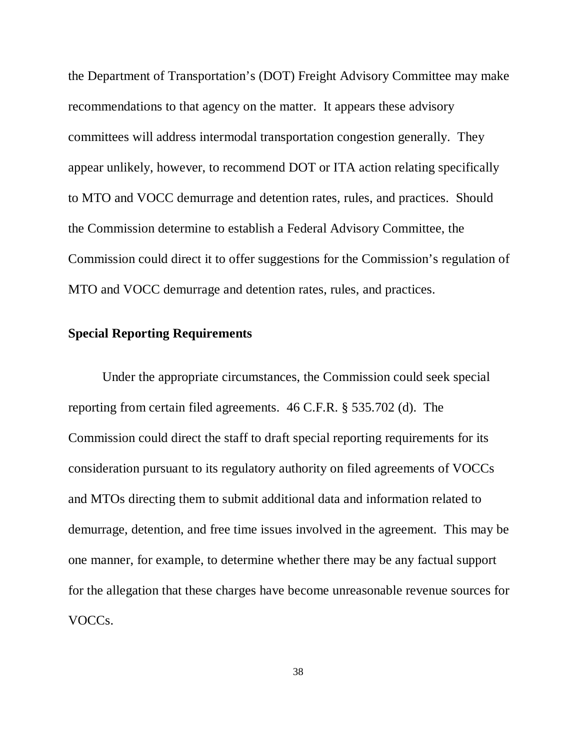the Department of Transportation's (DOT) Freight Advisory Committee may make recommendations to that agency on the matter. It appears these advisory committees will address intermodal transportation congestion generally. They appear unlikely, however, to recommend DOT or ITA action relating specifically to MTO and VOCC demurrage and detention rates, rules, and practices. Should the Commission determine to establish a Federal Advisory Committee, the Commission could direct it to offer suggestions for the Commission's regulation of MTO and VOCC demurrage and detention rates, rules, and practices.

## **Special Reporting Requirements**

Under the appropriate circumstances, the Commission could seek special reporting from certain filed agreements. 46 C.F.R. § 535.702 (d). The Commission could direct the staff to draft special reporting requirements for its consideration pursuant to its regulatory authority on filed agreements of VOCCs and MTOs directing them to submit additional data and information related to demurrage, detention, and free time issues involved in the agreement. This may be one manner, for example, to determine whether there may be any factual support for the allegation that these charges have become unreasonable revenue sources for VOCCs.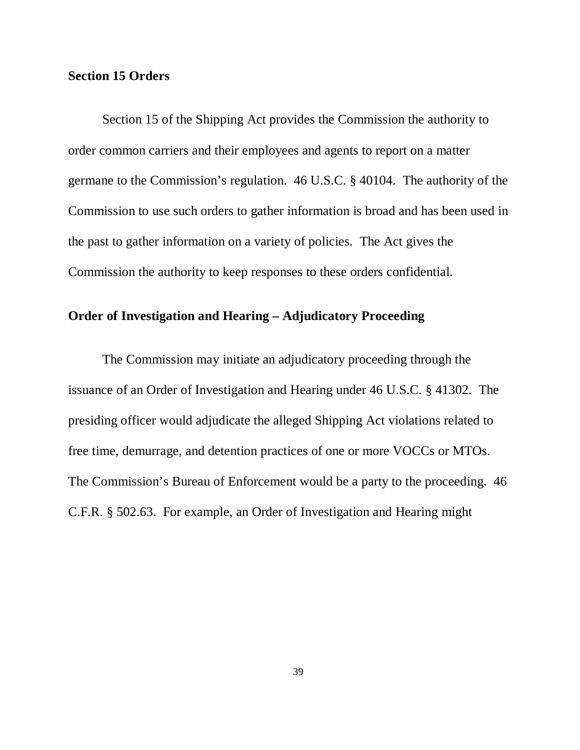#### **Section 15 Orders**

Section 15 of the Shipping Act provides the Commission the authority to order common carriers and their employees and agents to report on a matter germane to the Commission's regulation. 46 U.S.C. § 40104. The authority of the Commission to use such orders to gather information is broad and has been used in the past to gather information on a variety of policies. The Act gives the Commission the authority to keep responses to these orders confidential.

## **Order of Investigation and Hearing – Adjudicatory Proceeding**

The Commission may initiate an adjudicatory proceeding through the issuance of an Order of Investigation and Hearing under 46 U.S.C. § 41302. The presiding officer would adjudicate the alleged Shipping Act violations related to free time, demurrage, and detention practices of one or more VOCCs or MTOs. The Commission's Bureau of Enforcement would be a party to the proceeding. 46 C.F.R. § 502.63. For example, an Order of Investigation and Hearing might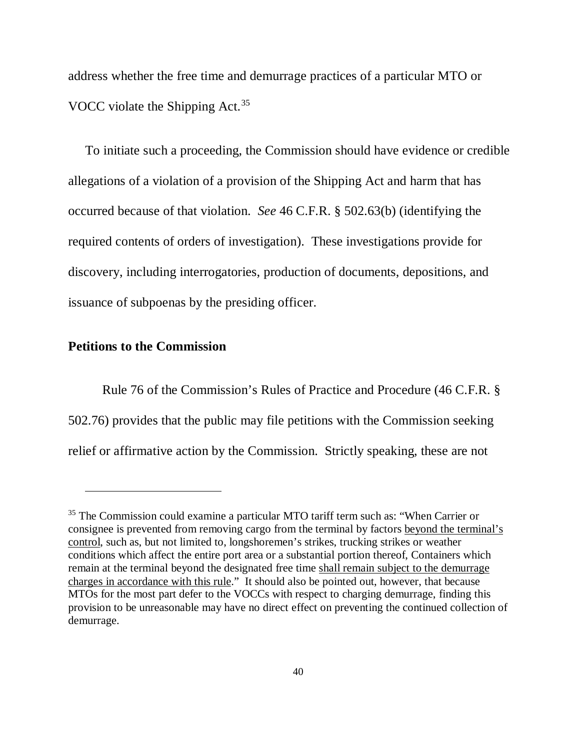address whether the free time and demurrage practices of a particular MTO or VOCC violate the Shipping Act.<sup>[35](#page-39-0)</sup>

To initiate such a proceeding, the Commission should have evidence or credible allegations of a violation of a provision of the Shipping Act and harm that has occurred because of that violation. *See* 46 C.F.R. § 502.63(b) (identifying the required contents of orders of investigation). These investigations provide for discovery, including interrogatories, production of documents, depositions, and issuance of subpoenas by the presiding officer.

#### **Petitions to the Commission**

 $\overline{a}$ 

Rule 76 of the Commission's Rules of Practice and Procedure (46 C.F.R. § 502.76) provides that the public may file petitions with the Commission seeking relief or affirmative action by the Commission. Strictly speaking, these are not

<span id="page-39-0"></span><sup>&</sup>lt;sup>35</sup> The Commission could examine a particular MTO tariff term such as: "When Carrier or consignee is prevented from removing cargo from the terminal by factors beyond the terminal's control, such as, but not limited to, longshoremen's strikes, trucking strikes or weather conditions which affect the entire port area or a substantial portion thereof, Containers which remain at the terminal beyond the designated free time shall remain subject to the demurrage charges in accordance with this rule." It should also be pointed out, however, that because MTOs for the most part defer to the VOCCs with respect to charging demurrage, finding this provision to be unreasonable may have no direct effect on preventing the continued collection of demurrage.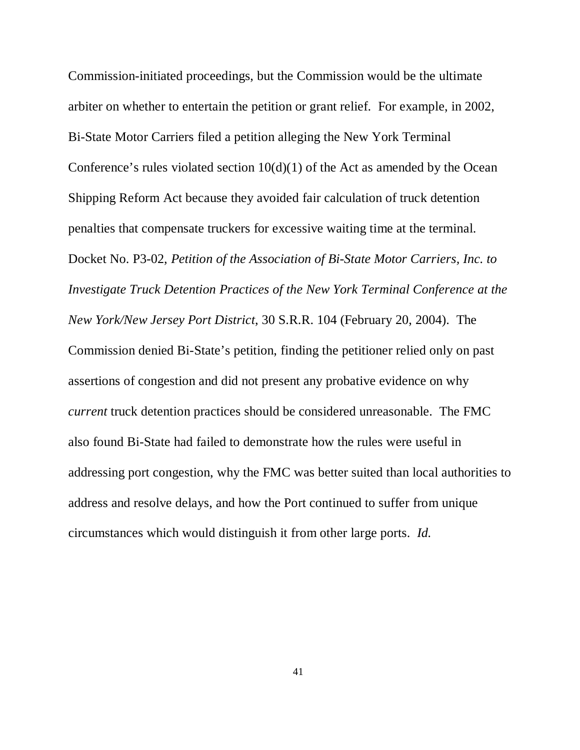Commission-initiated proceedings, but the Commission would be the ultimate arbiter on whether to entertain the petition or grant relief. For example, in 2002, Bi-State Motor Carriers filed a petition alleging the New York Terminal Conference's rules violated section  $10(d)(1)$  of the Act as amended by the Ocean Shipping Reform Act because they avoided fair calculation of truck detention penalties that compensate truckers for excessive waiting time at the terminal. Docket No. P3-02, *Petition of the Association of Bi-State Motor Carriers, Inc. to Investigate Truck Detention Practices of the New York Terminal Conference at the New York/New Jersey Port District*, 30 S.R.R. 104 (February 20, 2004). The Commission denied Bi-State's petition, finding the petitioner relied only on past assertions of congestion and did not present any probative evidence on why *current* truck detention practices should be considered unreasonable. The FMC also found Bi-State had failed to demonstrate how the rules were useful in addressing port congestion, why the FMC was better suited than local authorities to address and resolve delays, and how the Port continued to suffer from unique circumstances which would distinguish it from other large ports. *Id.*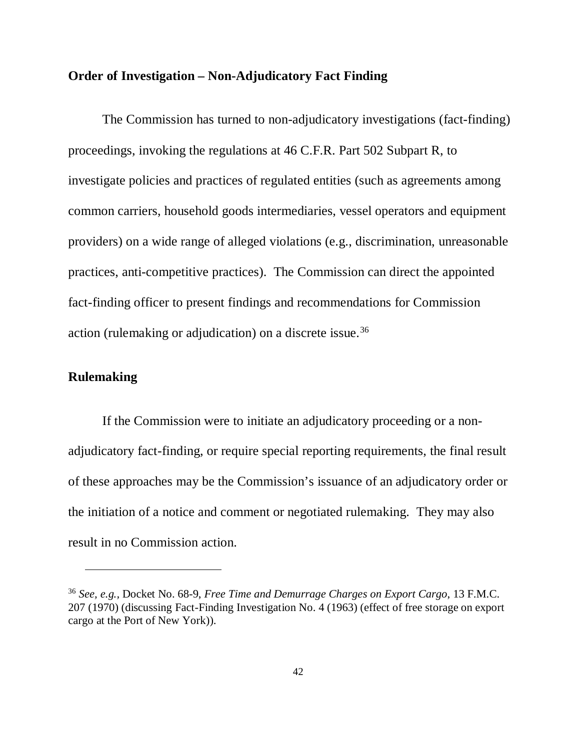## **Order of Investigation – Non-Adjudicatory Fact Finding**

The Commission has turned to non-adjudicatory investigations (fact-finding) proceedings, invoking the regulations at 46 C.F.R. Part 502 Subpart R, to investigate policies and practices of regulated entities (such as agreements among common carriers, household goods intermediaries, vessel operators and equipment providers) on a wide range of alleged violations (e.g., discrimination, unreasonable practices, anti-competitive practices). The Commission can direct the appointed fact-finding officer to present findings and recommendations for Commission action (rulemaking or adjudication) on a discrete issue.[36](#page-41-0)

## **Rulemaking**

-

If the Commission were to initiate an adjudicatory proceeding or a nonadjudicatory fact-finding, or require special reporting requirements, the final result of these approaches may be the Commission's issuance of an adjudicatory order or the initiation of a notice and comment or negotiated rulemaking. They may also result in no Commission action.

<span id="page-41-0"></span><sup>36</sup> *See, e.g.,* Docket No. 68-9, *Free Time and Demurrage Charges on Export Cargo*, 13 F.M.C. 207 (1970) (discussing Fact-Finding Investigation No. 4 (1963) (effect of free storage on export cargo at the Port of New York)).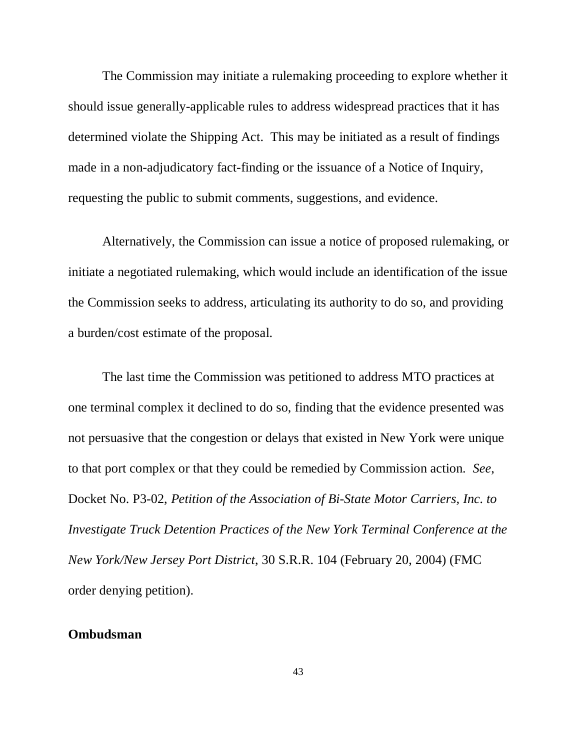The Commission may initiate a rulemaking proceeding to explore whether it should issue generally-applicable rules to address widespread practices that it has determined violate the Shipping Act. This may be initiated as a result of findings made in a non-adjudicatory fact-finding or the issuance of a Notice of Inquiry, requesting the public to submit comments, suggestions, and evidence.

Alternatively, the Commission can issue a notice of proposed rulemaking, or initiate a negotiated rulemaking, which would include an identification of the issue the Commission seeks to address, articulating its authority to do so, and providing a burden/cost estimate of the proposal.

The last time the Commission was petitioned to address MTO practices at one terminal complex it declined to do so, finding that the evidence presented was not persuasive that the congestion or delays that existed in New York were unique to that port complex or that they could be remedied by Commission action. *See*, Docket No. P3-02, *Petition of the Association of Bi-State Motor Carriers, Inc. to Investigate Truck Detention Practices of the New York Terminal Conference at the New York/New Jersey Port District*, 30 S.R.R. 104 (February 20, 2004) (FMC order denying petition).

## **Ombudsman**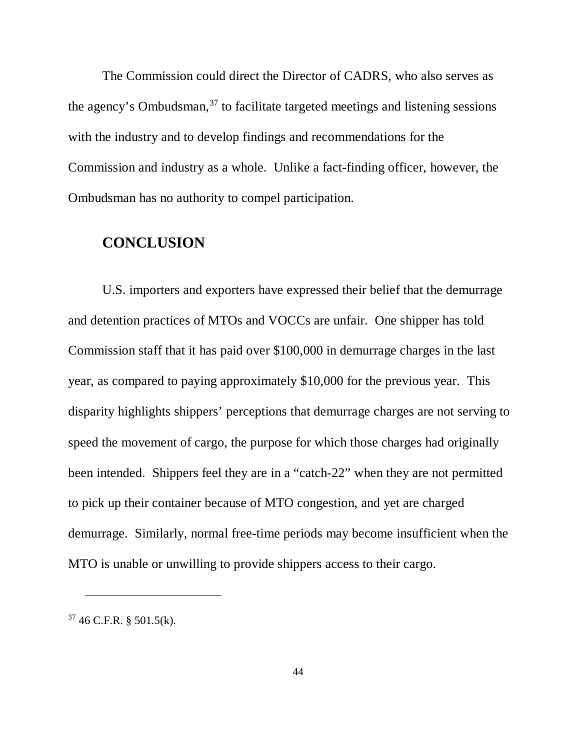The Commission could direct the Director of CADRS, who also serves as the agency's Ombudsman,  $37$  to facilitate targeted meetings and listening sessions with the industry and to develop findings and recommendations for the Commission and industry as a whole. Unlike a fact-finding officer, however, the Ombudsman has no authority to compel participation.

# **CONCLUSION**

U.S. importers and exporters have expressed their belief that the demurrage and detention practices of MTOs and VOCCs are unfair. One shipper has told Commission staff that it has paid over \$100,000 in demurrage charges in the last year, as compared to paying approximately \$10,000 for the previous year. This disparity highlights shippers' perceptions that demurrage charges are not serving to speed the movement of cargo, the purpose for which those charges had originally been intended. Shippers feel they are in a "catch-22" when they are not permitted to pick up their container because of MTO congestion, and yet are charged demurrage. Similarly, normal free-time periods may become insufficient when the MTO is unable or unwilling to provide shippers access to their cargo.

 $\ddot{\phantom{a}}$ 

<span id="page-43-0"></span> $37\,46$  C.F.R. § 501.5(k).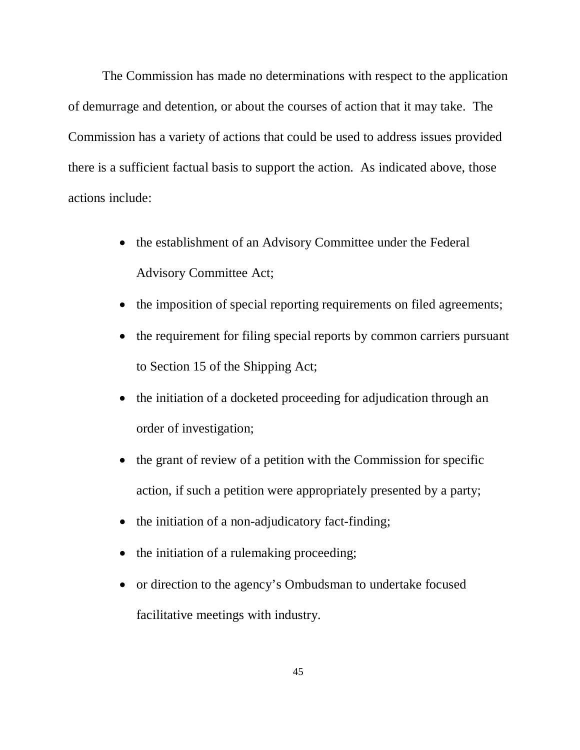The Commission has made no determinations with respect to the application of demurrage and detention, or about the courses of action that it may take. The Commission has a variety of actions that could be used to address issues provided there is a sufficient factual basis to support the action. As indicated above, those actions include:

- the establishment of an Advisory Committee under the Federal Advisory Committee Act;
- the imposition of special reporting requirements on filed agreements;
- the requirement for filing special reports by common carriers pursuant to Section 15 of the Shipping Act;
- the initiation of a docketed proceeding for adjudication through an order of investigation;
- the grant of review of a petition with the Commission for specific action, if such a petition were appropriately presented by a party;
- the initiation of a non-adjudicatory fact-finding;
- the initiation of a rulemaking proceeding;
- or direction to the agency's Ombudsman to undertake focused facilitative meetings with industry.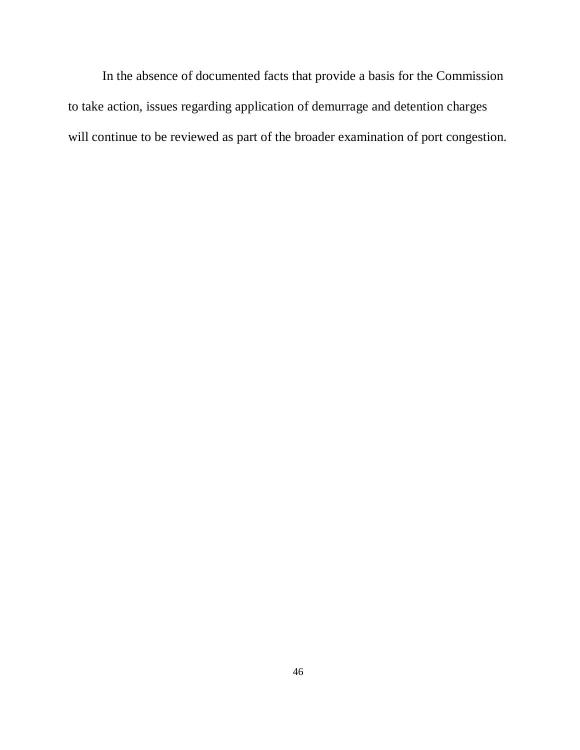In the absence of documented facts that provide a basis for the Commission to take action, issues regarding application of demurrage and detention charges will continue to be reviewed as part of the broader examination of port congestion.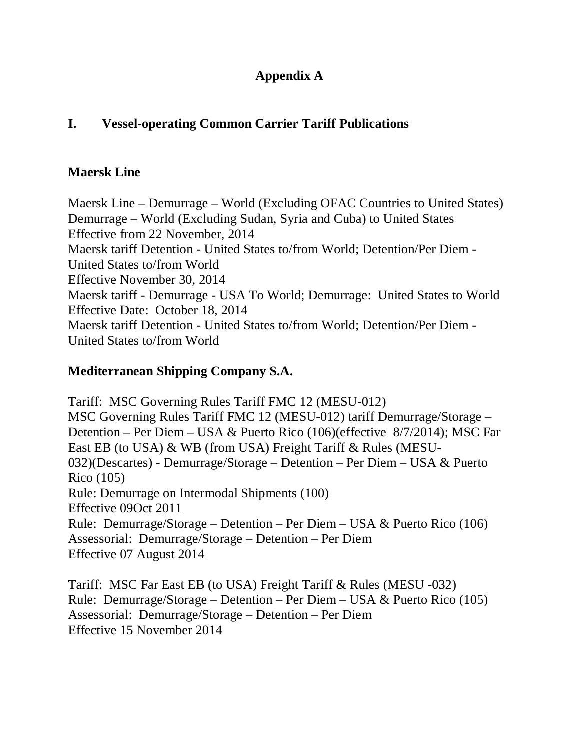# **Appendix A**

# **I. Vessel-operating Common Carrier Tariff Publications**

# **Maersk Line**

Maersk Line – Demurrage – World (Excluding OFAC Countries to United States) Demurrage – World (Excluding Sudan, Syria and Cuba) to United States Effective from 22 November, 2014 Maersk tariff Detention - United States to/from World; Detention/Per Diem - United States to/from World Effective November 30, 2014 Maersk tariff - Demurrage - USA To World; Demurrage: United States to World Effective Date: October 18, 2014 Maersk tariff Detention - United States to/from World; Detention/Per Diem - United States to/from World

# **Mediterranean Shipping Company S.A.**

Tariff: MSC Governing Rules Tariff FMC 12 (MESU-012) MSC Governing Rules Tariff FMC 12 (MESU-012) tariff Demurrage/Storage – Detention – Per Diem – USA & Puerto Rico (106)(effective 8/7/2014); MSC Far East EB (to USA) & WB (from USA) Freight Tariff & Rules (MESU-032)(Descartes) - Demurrage/Storage – Detention – Per Diem – USA & Puerto Rico (105) Rule: Demurrage on Intermodal Shipments (100) Effective 09Oct 2011 Rule: Demurrage/Storage – Detention – Per Diem – USA & Puerto Rico (106) Assessorial: Demurrage/Storage – Detention – Per Diem Effective 07 August 2014

Tariff: MSC Far East EB (to USA) Freight Tariff & Rules (MESU -032) Rule: Demurrage/Storage – Detention – Per Diem – USA & Puerto Rico (105) Assessorial: Demurrage/Storage – Detention – Per Diem Effective 15 November 2014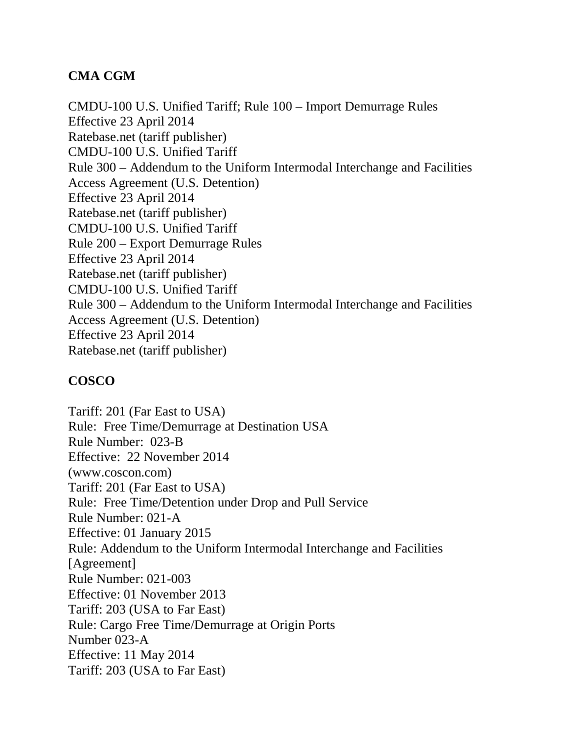# **CMA CGM**

CMDU-100 U.S. Unified Tariff; Rule 100 – Import Demurrage Rules Effective 23 April 2014 Ratebase.net (tariff publisher) CMDU-100 U.S. Unified Tariff Rule 300 – Addendum to the Uniform Intermodal Interchange and Facilities Access Agreement (U.S. Detention) Effective 23 April 2014 Ratebase.net (tariff publisher) CMDU-100 U.S. Unified Tariff Rule 200 – Export Demurrage Rules Effective 23 April 2014 Ratebase.net (tariff publisher) CMDU-100 U.S. Unified Tariff Rule 300 – Addendum to the Uniform Intermodal Interchange and Facilities Access Agreement (U.S. Detention) Effective 23 April 2014 Ratebase.net (tariff publisher)

# **COSCO**

Tariff: 201 (Far East to USA) Rule: Free Time/Demurrage at Destination USA Rule Number: 023-B Effective: 22 November 2014 (www.coscon.com) Tariff: 201 (Far East to USA) Rule: Free Time/Detention under Drop and Pull Service Rule Number: 021-A Effective: 01 January 2015 Rule: Addendum to the Uniform Intermodal Interchange and Facilities [Agreement] Rule Number: 021-003 Effective: 01 November 2013 Tariff: 203 (USA to Far East) Rule: Cargo Free Time/Demurrage at Origin Ports Number 023-A Effective: 11 May 2014 Tariff: 203 (USA to Far East)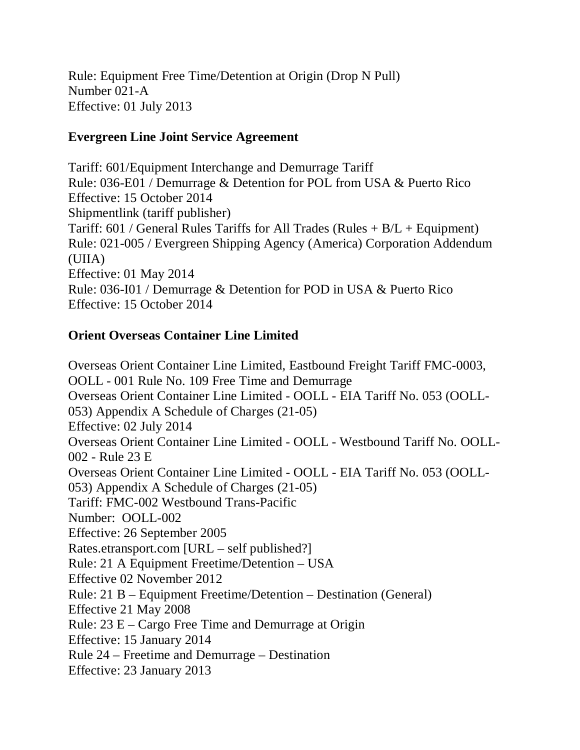Rule: Equipment Free Time/Detention at Origin (Drop N Pull) Number 021-A Effective: 01 July 2013

# **Evergreen Line Joint Service Agreement**

Tariff: 601/Equipment Interchange and Demurrage Tariff Rule: 036-E01 / Demurrage & Detention for POL from USA & Puerto Rico Effective: 15 October 2014 Shipmentlink (tariff publisher) Tariff:  $601$  / General Rules Tariffs for All Trades (Rules  $+ B/L +$  Equipment) Rule: 021-005 / Evergreen Shipping Agency (America) Corporation Addendum (UIIA) Effective: 01 May 2014 Rule: 036-I01 / Demurrage & Detention for POD in USA & Puerto Rico Effective: 15 October 2014

# **Orient Overseas Container Line Limited**

Overseas Orient Container Line Limited, Eastbound Freight Tariff FMC-0003, OOLL - 001 Rule No. 109 Free Time and Demurrage Overseas Orient Container Line Limited - OOLL - EIA Tariff No. 053 (OOLL-053) Appendix A Schedule of Charges (21-05) Effective: 02 July 2014 Overseas Orient Container Line Limited - OOLL - Westbound Tariff No. OOLL-002 - Rule 23 E Overseas Orient Container Line Limited - OOLL - EIA Tariff No. 053 (OOLL-053) Appendix A Schedule of Charges (21-05) Tariff: FMC-002 Westbound Trans-Pacific Number: OOLL-002 Effective: 26 September 2005 Rates.etransport.com [URL – self published?] Rule: 21 A Equipment Freetime/Detention – USA Effective 02 November 2012 Rule: 21 B – Equipment Freetime/Detention – Destination (General) Effective 21 May 2008 Rule: 23 E – Cargo Free Time and Demurrage at Origin Effective: 15 January 2014 Rule 24 – Freetime and Demurrage – Destination Effective: 23 January 2013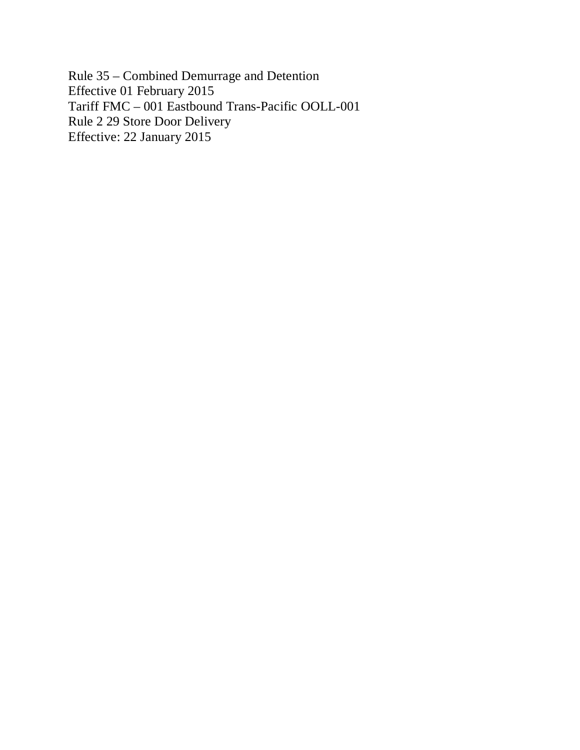Rule 35 – Combined Demurrage and Detention Effective 01 February 2015 Tariff FMC – 001 Eastbound Trans-Pacific OOLL-001 Rule 2 29 Store Door Delivery Effective: 22 January 2015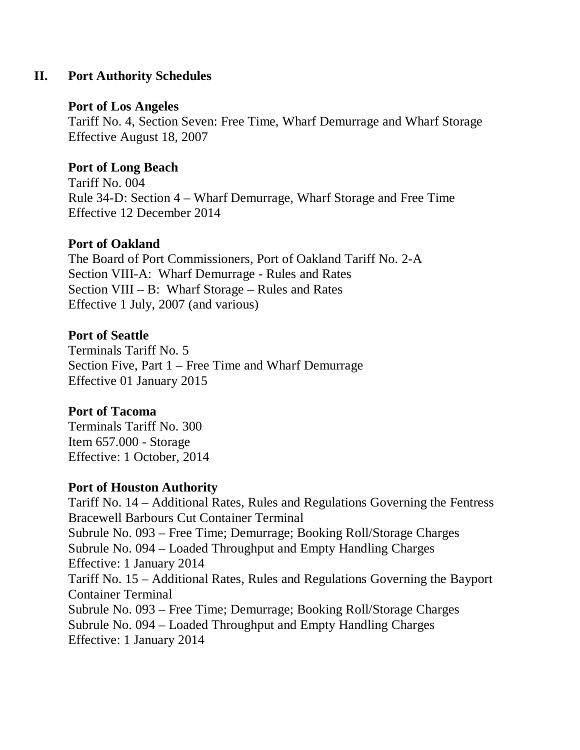# **II. Port Authority Schedules**

# **Port of Los Angeles**

Tariff No. 4, Section Seven: Free Time, Wharf Demurrage and Wharf Storage Effective August 18, 2007

# **Port of Long Beach**

Tariff No. 004 Rule 34-D: Section 4 – Wharf Demurrage, Wharf Storage and Free Time Effective 12 December 2014

# **Port of Oakland**

The Board of Port Commissioners, Port of Oakland Tariff No. 2-A Section VIII-A: Wharf Demurrage - Rules and Rates Section VIII – B: Wharf Storage – Rules and Rates Effective 1 July, 2007 (and various)

# **Port of Seattle**

Terminals Tariff No. 5 Section Five, Part 1 – Free Time and Wharf Demurrage Effective 01 January 2015

# **Port of Tacoma**

Terminals Tariff No. 300 Item 657.000 - Storage Effective: 1 October, 2014

# **Port of Houston Authority**

Tariff No. 14 – Additional Rates, Rules and Regulations Governing the Fentress Bracewell Barbours Cut Container Terminal Subrule No. 093 – Free Time; Demurrage; Booking Roll/Storage Charges Subrule No. 094 – Loaded Throughput and Empty Handling Charges Effective: 1 January 2014 Tariff No. 15 – Additional Rates, Rules and Regulations Governing the Bayport Container Terminal Subrule No. 093 – Free Time; Demurrage; Booking Roll/Storage Charges Subrule No. 094 – Loaded Throughput and Empty Handling Charges Effective: 1 January 2014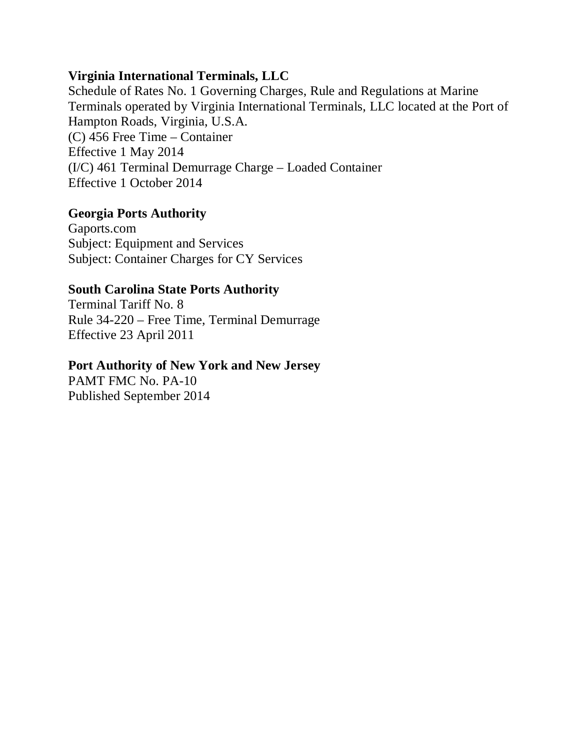# **Virginia International Terminals, LLC**

Schedule of Rates No. 1 Governing Charges, Rule and Regulations at Marine Terminals operated by Virginia International Terminals, LLC located at the Port of Hampton Roads, Virginia, U.S.A. (C) 456 Free Time – Container Effective 1 May 2014 (I/C) 461 Terminal Demurrage Charge – Loaded Container Effective 1 October 2014

# **Georgia Ports Authority**

Gaports.com Subject: Equipment and Services Subject: Container Charges for CY Services

# **South Carolina State Ports Authority**

Terminal Tariff No. 8 Rule 34-220 – Free Time, Terminal Demurrage Effective 23 April 2011

## **Port Authority of New York and New Jersey**

PAMT FMC No. PA-10 Published September 2014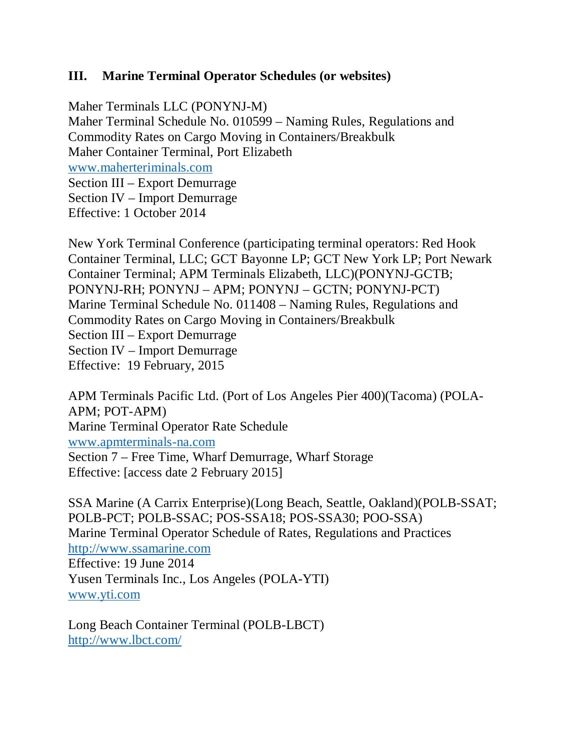# **III. Marine Terminal Operator Schedules (or websites)**

Maher Terminals LLC (PONYNJ-M) Maher Terminal Schedule No. 010599 – Naming Rules, Regulations and Commodity Rates on Cargo Moving in Containers/Breakbulk Maher Container Terminal, Port Elizabeth [www.maherteriminals.com](http://www.maherteriminals.com/) Section III – Export Demurrage Section IV – Import Demurrage Effective: 1 October 2014

New York Terminal Conference (participating terminal operators: Red Hook Container Terminal, LLC; GCT Bayonne LP; GCT New York LP; Port Newark Container Terminal; APM Terminals Elizabeth, LLC)(PONYNJ-GCTB; PONYNJ-RH; PONYNJ – APM; PONYNJ – GCTN; PONYNJ-PCT) Marine Terminal Schedule No. 011408 – Naming Rules, Regulations and Commodity Rates on Cargo Moving in Containers/Breakbulk Section III – Export Demurrage Section IV – Import Demurrage Effective: 19 February, 2015

APM Terminals Pacific Ltd. (Port of Los Angeles Pier 400)(Tacoma) (POLA-APM; POT-APM) Marine Terminal Operator Rate Schedule [www.apmterminals-na.com](http://www.apmterminals-na.com/) Section 7 – Free Time, Wharf Demurrage, Wharf Storage Effective: [access date 2 February 2015]

SSA Marine (A Carrix Enterprise)(Long Beach, Seattle, Oakland)(POLB-SSAT; POLB-PCT; POLB-SSAC; POS-SSA18; POS-SSA30; POO-SSA) Marine Terminal Operator Schedule of Rates, Regulations and Practices [http://www.ssamarine.com](http://www.ssamarine.com/) Effective: 19 June 2014 Yusen Terminals Inc., Los Angeles (POLA-YTI) [www.yti.com](http://www.yti.com/)

Long Beach Container Terminal (POLB-LBCT) <http://www.lbct.com/>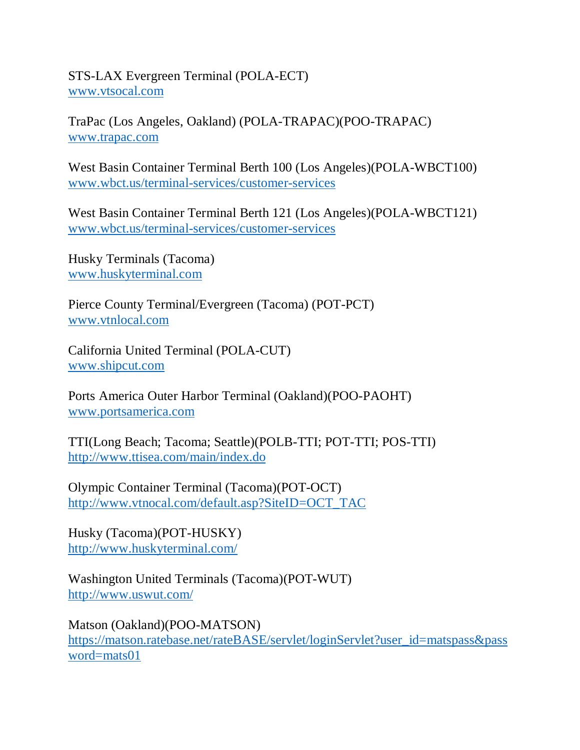STS-LAX Evergreen Terminal (POLA-ECT) [www.vtsocal.com](http://www.vtsocal.com/)

TraPac (Los Angeles, Oakland) (POLA-TRAPAC)(POO-TRAPAC) [www.trapac.com](http://www.trapac.com/)

West Basin Container Terminal Berth 100 (Los Angeles)(POLA-WBCT100) [www.wbct.us/terminal-services/customer-services](http://www.wbct.us/terminal-services/customer-services)

West Basin Container Terminal Berth 121 (Los Angeles)(POLA-WBCT121) [www.wbct.us/terminal-services/customer-services](http://www.wbct.us/terminal-services/customer-services)

Husky Terminals (Tacoma) [www.huskyterminal.com](http://www.huskyterminal.com/)

Pierce County Terminal/Evergreen (Tacoma) (POT-PCT) [www.vtnlocal.com](http://www.vtnlocal.com/)

California United Terminal (POLA-CUT) [www.shipcut.com](http://www.shipcut.com/)

Ports America Outer Harbor Terminal (Oakland)(POO-PAOHT) [www.portsamerica.com](http://www.portsamerica.com/)

TTI(Long Beach; Tacoma; Seattle)(POLB-TTI; POT-TTI; POS-TTI) <http://www.ttisea.com/main/index.do>

Olympic Container Terminal (Tacoma)(POT-OCT) [http://www.vtnocal.com/default.asp?SiteID=OCT\\_TAC](http://www.vtnocal.com/default.asp?SiteID=OCT_TAC)

Husky (Tacoma)(POT-HUSKY) <http://www.huskyterminal.com/>

Washington United Terminals (Tacoma)(POT-WUT) <http://www.uswut.com/>

Matson (Oakland)(POO-MATSON) [https://matson.ratebase.net/rateBASE/servlet/loginServlet?user\\_id=matspass&pass](https://matson.ratebase.net/rateBASE/servlet/loginServlet?user_id=matspass&password=mats01) [word=mats01](https://matson.ratebase.net/rateBASE/servlet/loginServlet?user_id=matspass&password=mats01)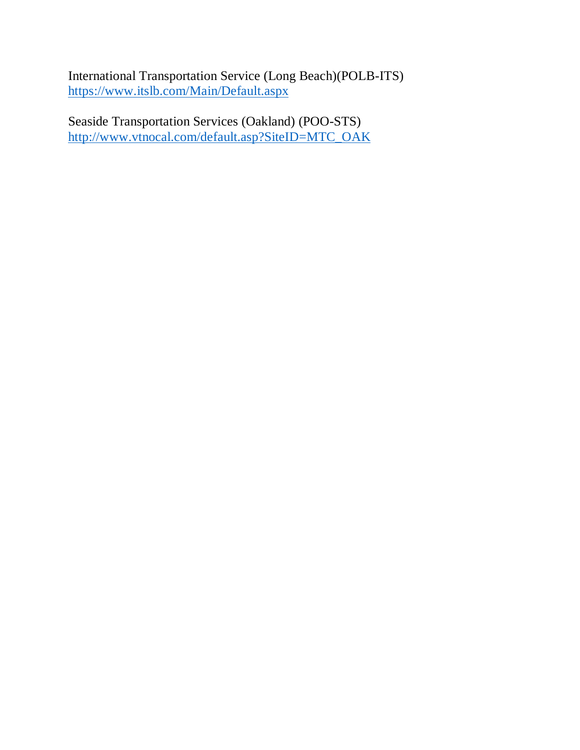International Transportation Service (Long Beach)(POLB-ITS) <https://www.itslb.com/Main/Default.aspx>

Seaside Transportation Services (Oakland) (POO-STS) [http://www.vtnocal.com/default.asp?SiteID=MTC\\_OAK](http://www.vtnocal.com/default.asp?SiteID=MTC_OAK)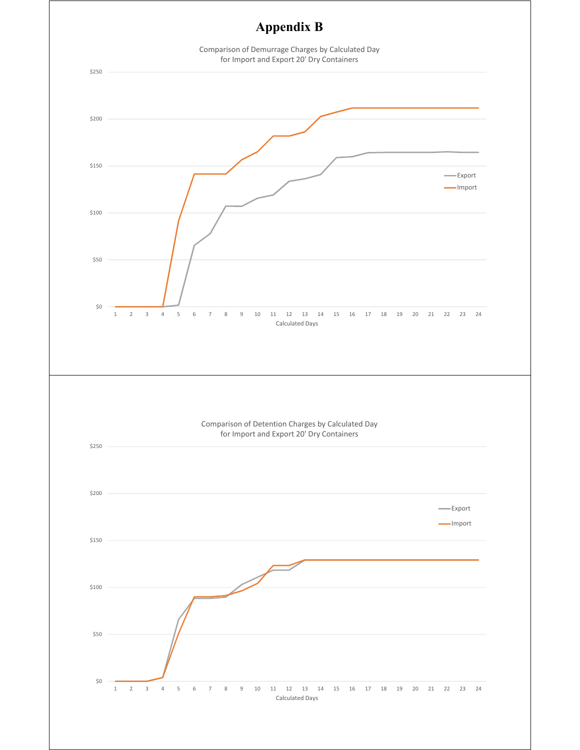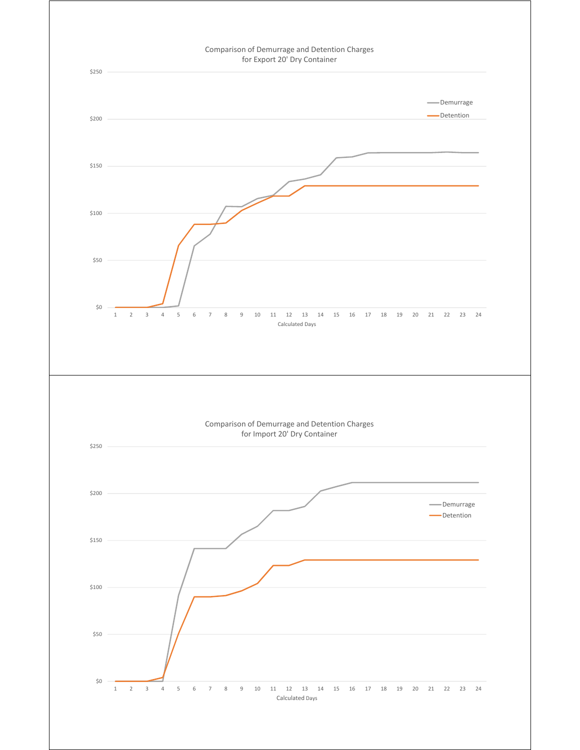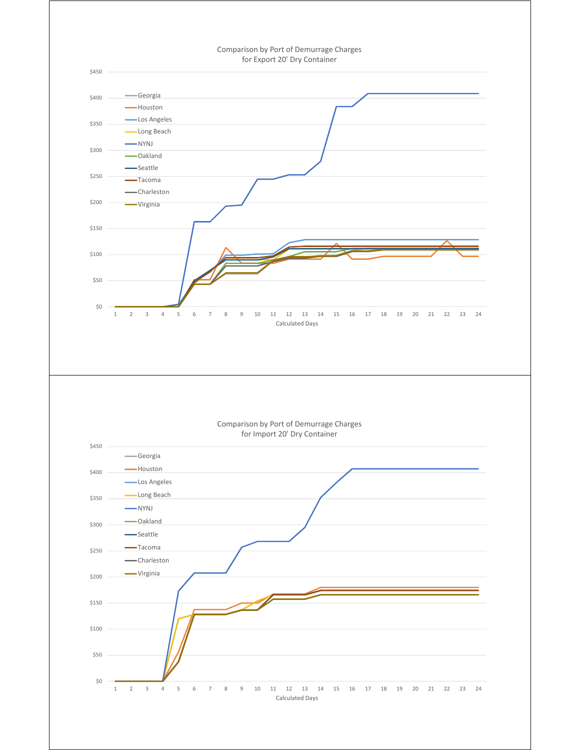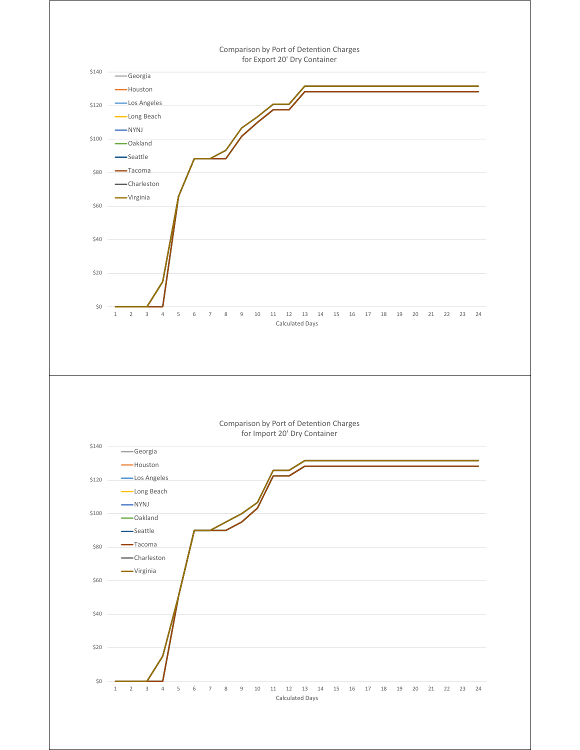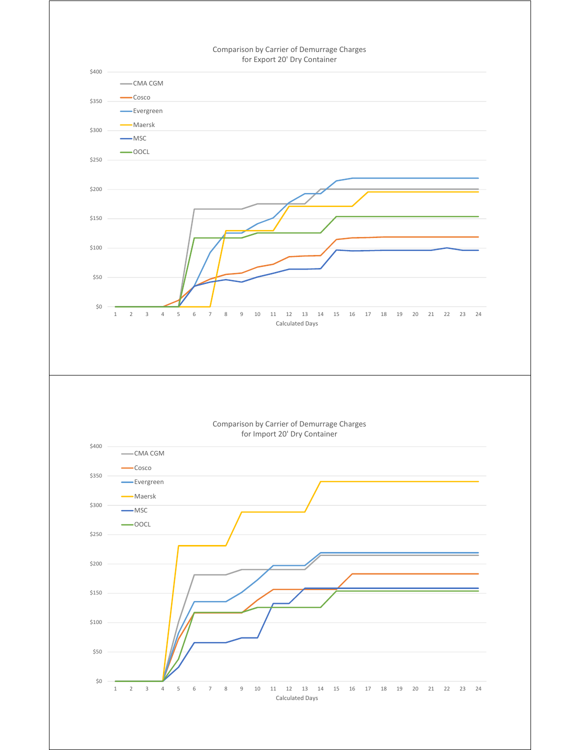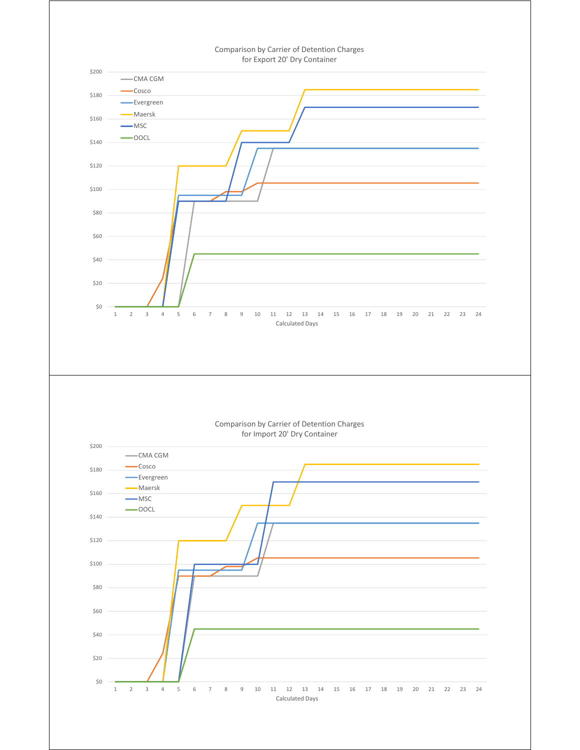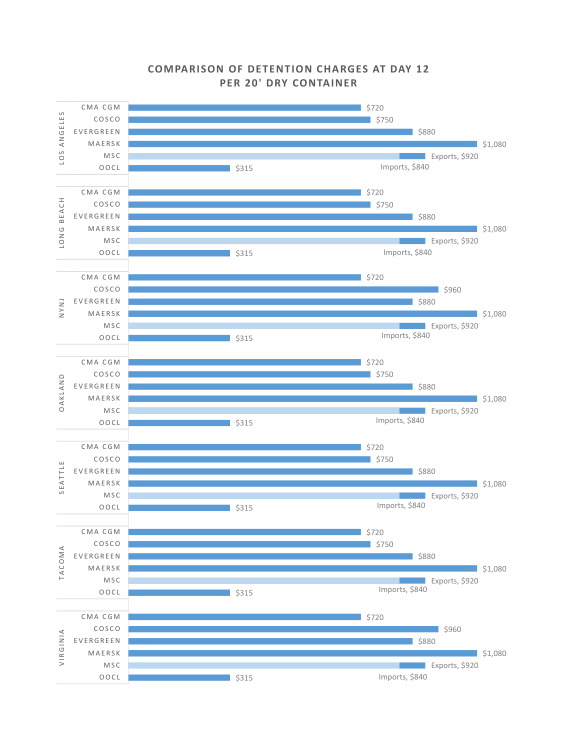

## **COMPARISON OF DETENTION CHARGES AT DAY 1 2 PER 20' DRY CONTAINER**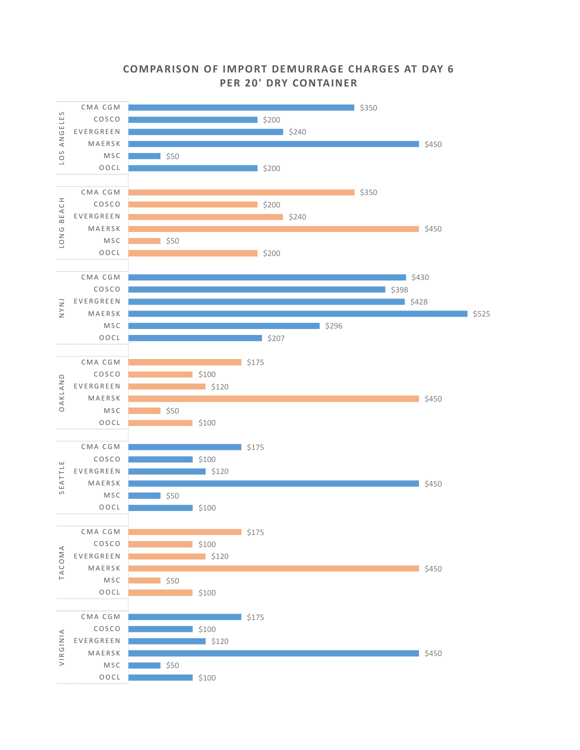#### CMA CGM  $\frac{1}{350}$ ANGELES LOS ANGELES COSCO  $\frac{1}{2}$ \$200 EVERGREEN  $\frac{1}{2}$  \$240 MAERSK  $$450$  $105$ MSC  $\overline{\phantom{0}}$  \$50 OOCL  $$200$ CMA CGM  $\frac{1}{5350}$ BEACH LONG BEACH COSCO  $\overline{\phantom{1}}$ \$200 EVERGREEN  $\frac{1}{2}$  \$240 LONG MAERSK  $\frac{1}{5450}$ MSC  $$50$ OOCL  $\frac{1}{200}$ CMA CGM  $\frac{1}{2}$ \$430 COSCO  $\Box$  \$398 NYNJ EVERGREEN  $\frac{1}{5428}$ MAERSK  $\overline{\phantom{0}}$  \$525 MSC \$296 OOCL  $\frac{1}{207}$ CMA CGM  $\frac{1}{5175}$ COSCO  $\frac{1}{2}$  \$100 OAKLAND OAKLAND EVERGREEN  $\frac{1}{2}$ \$120 MAERSK  $$450$ MSC  $\overline{\phantom{0}}$ \$50 OOCL \$100

## **COMPARISON OF IMPORT DEMURRAGE CHARGES AT DAY 6 PER 20' DRY CONTAINER**